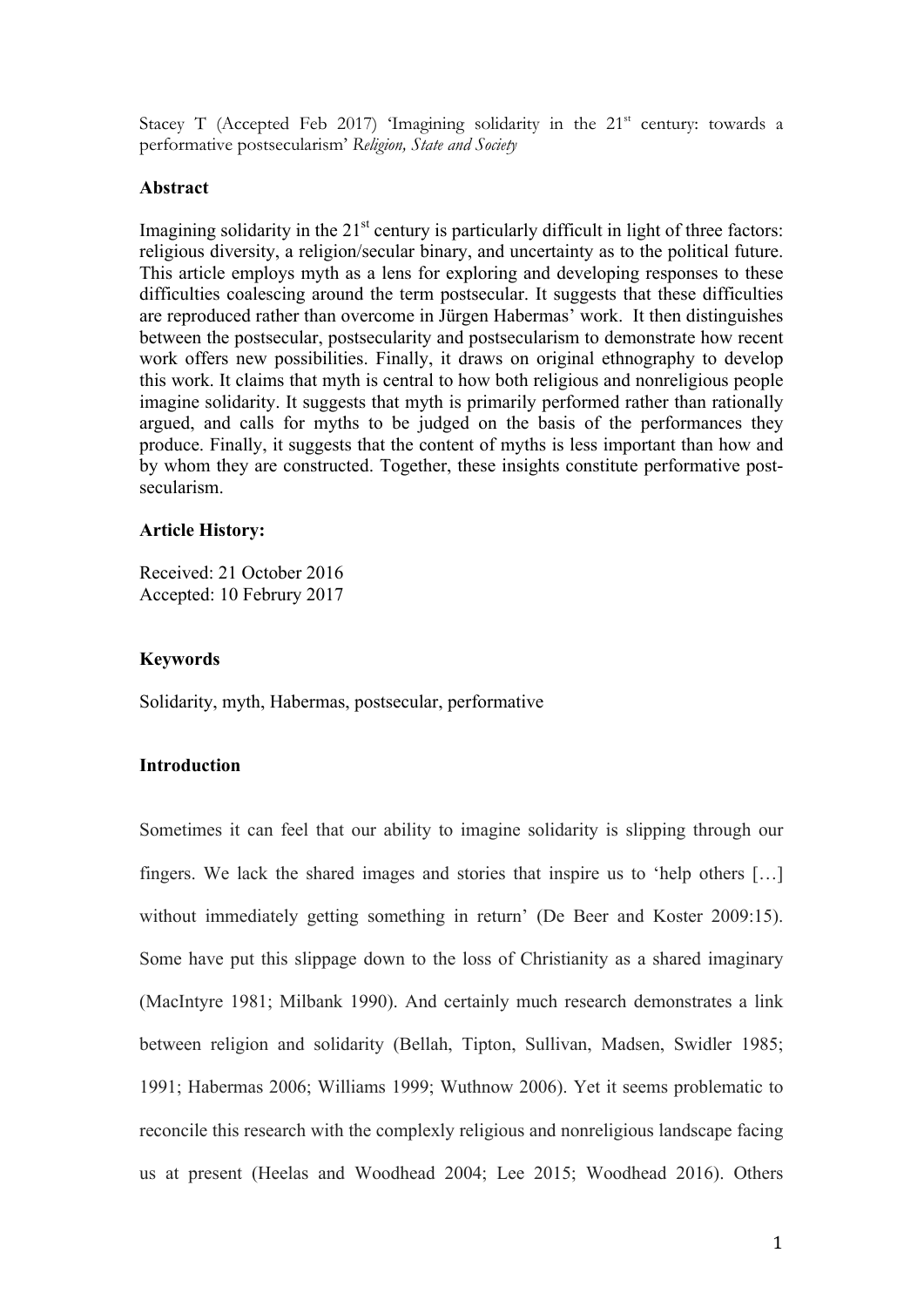Stacey T (Accepted Feb 2017) 'Imagining solidarity in the  $21<sup>st</sup>$  century: towards a performative postsecularism' *Religion, State and Society*

#### **Abstract**

Imagining solidarity in the  $21<sup>st</sup>$  century is particularly difficult in light of three factors: religious diversity, a religion/secular binary, and uncertainty as to the political future. This article employs myth as a lens for exploring and developing responses to these difficulties coalescing around the term postsecular. It suggests that these difficulties are reproduced rather than overcome in Jürgen Habermas' work. It then distinguishes between the postsecular, postsecularity and postsecularism to demonstrate how recent work offers new possibilities. Finally, it draws on original ethnography to develop this work. It claims that myth is central to how both religious and nonreligious people imagine solidarity. It suggests that myth is primarily performed rather than rationally argued, and calls for myths to be judged on the basis of the performances they produce. Finally, it suggests that the content of myths is less important than how and by whom they are constructed. Together, these insights constitute performative postsecularism.

#### **Article History:**

Received: 21 October 2016 Accepted: 10 Februry 2017

#### **Keywords**

Solidarity, myth, Habermas, postsecular, performative

#### **Introduction**

Sometimes it can feel that our ability to imagine solidarity is slipping through our fingers. We lack the shared images and stories that inspire us to 'help others […] without immediately getting something in return' (De Beer and Koster 2009:15). Some have put this slippage down to the loss of Christianity as a shared imaginary (MacIntyre 1981; Milbank 1990). And certainly much research demonstrates a link between religion and solidarity (Bellah, Tipton, Sullivan, Madsen, Swidler 1985; 1991; Habermas 2006; Williams 1999; Wuthnow 2006). Yet it seems problematic to reconcile this research with the complexly religious and nonreligious landscape facing us at present (Heelas and Woodhead 2004; Lee 2015; Woodhead 2016). Others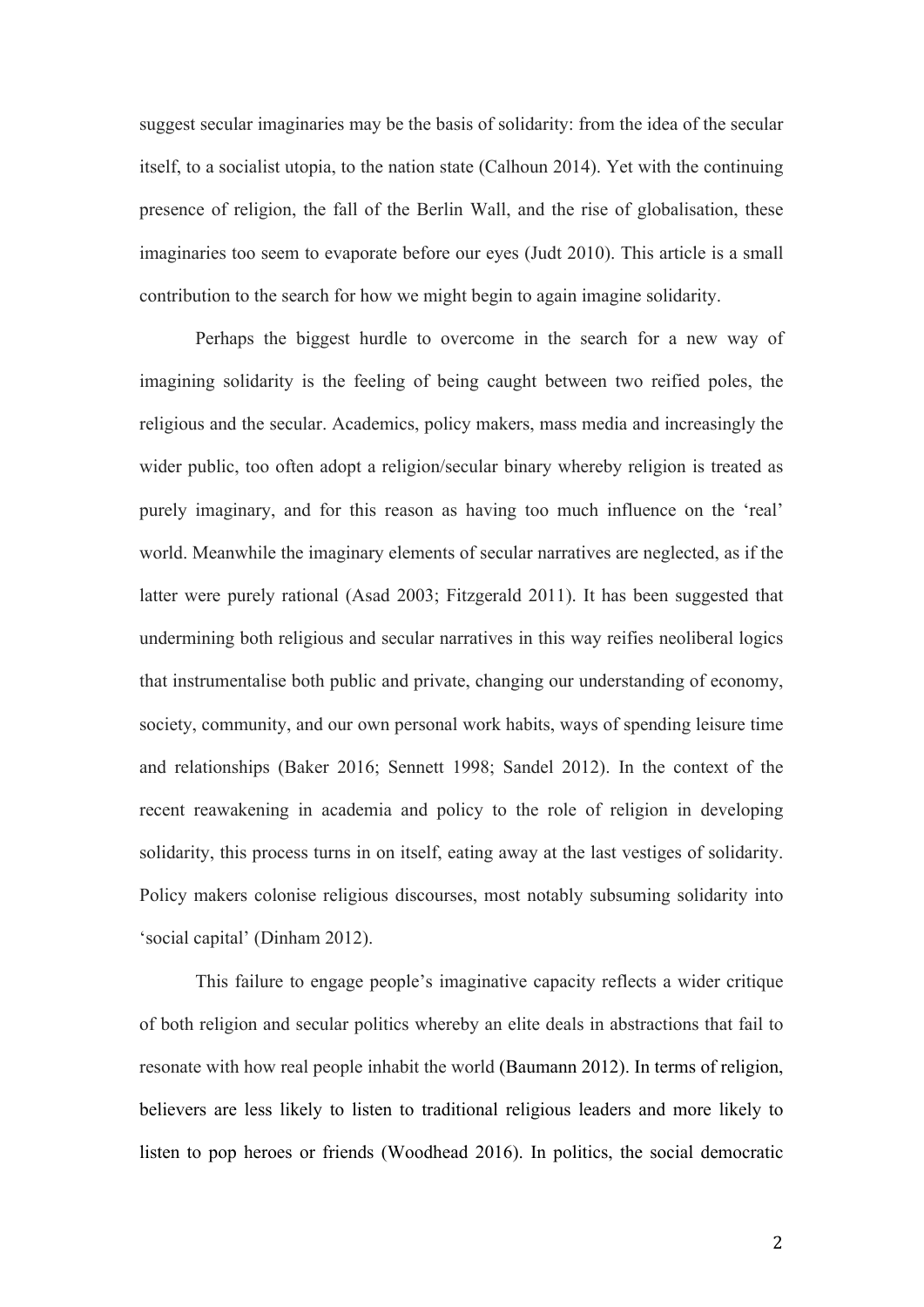suggest secular imaginaries may be the basis of solidarity: from the idea of the secular itself, to a socialist utopia, to the nation state (Calhoun 2014). Yet with the continuing presence of religion, the fall of the Berlin Wall, and the rise of globalisation, these imaginaries too seem to evaporate before our eyes (Judt 2010). This article is a small contribution to the search for how we might begin to again imagine solidarity.

Perhaps the biggest hurdle to overcome in the search for a new way of imagining solidarity is the feeling of being caught between two reified poles, the religious and the secular. Academics, policy makers, mass media and increasingly the wider public, too often adopt a religion/secular binary whereby religion is treated as purely imaginary, and for this reason as having too much influence on the 'real' world. Meanwhile the imaginary elements of secular narratives are neglected, as if the latter were purely rational (Asad 2003; Fitzgerald 2011). It has been suggested that undermining both religious and secular narratives in this way reifies neoliberal logics that instrumentalise both public and private, changing our understanding of economy, society, community, and our own personal work habits, ways of spending leisure time and relationships (Baker 2016; Sennett 1998; Sandel 2012). In the context of the recent reawakening in academia and policy to the role of religion in developing solidarity, this process turns in on itself, eating away at the last vestiges of solidarity. Policy makers colonise religious discourses, most notably subsuming solidarity into 'social capital' (Dinham 2012).

This failure to engage people's imaginative capacity reflects a wider critique of both religion and secular politics whereby an elite deals in abstractions that fail to resonate with how real people inhabit the world (Baumann 2012). In terms of religion, believers are less likely to listen to traditional religious leaders and more likely to listen to pop heroes or friends (Woodhead 2016). In politics, the social democratic

2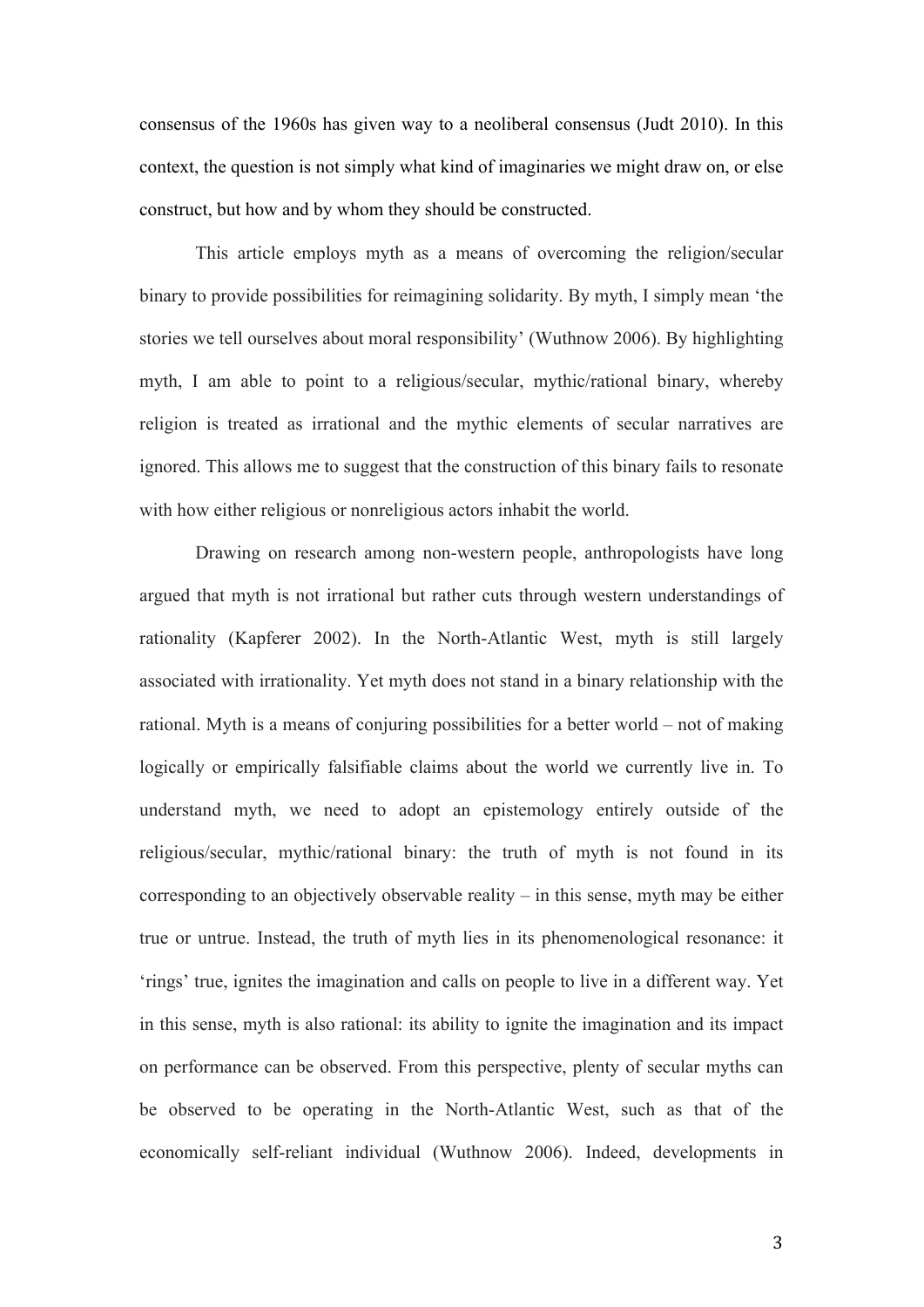consensus of the 1960s has given way to a neoliberal consensus (Judt 2010). In this context, the question is not simply what kind of imaginaries we might draw on, or else construct, but how and by whom they should be constructed.

This article employs myth as a means of overcoming the religion/secular binary to provide possibilities for reimagining solidarity. By myth, I simply mean 'the stories we tell ourselves about moral responsibility' (Wuthnow 2006). By highlighting myth, I am able to point to a religious/secular, mythic/rational binary, whereby religion is treated as irrational and the mythic elements of secular narratives are ignored. This allows me to suggest that the construction of this binary fails to resonate with how either religious or nonreligious actors inhabit the world.

Drawing on research among non-western people, anthropologists have long argued that myth is not irrational but rather cuts through western understandings of rationality (Kapferer 2002). In the North-Atlantic West, myth is still largely associated with irrationality. Yet myth does not stand in a binary relationship with the rational. Myth is a means of conjuring possibilities for a better world – not of making logically or empirically falsifiable claims about the world we currently live in. To understand myth, we need to adopt an epistemology entirely outside of the religious/secular, mythic/rational binary: the truth of myth is not found in its corresponding to an objectively observable reality – in this sense, myth may be either true or untrue. Instead, the truth of myth lies in its phenomenological resonance: it 'rings' true, ignites the imagination and calls on people to live in a different way. Yet in this sense, myth is also rational: its ability to ignite the imagination and its impact on performance can be observed. From this perspective, plenty of secular myths can be observed to be operating in the North-Atlantic West, such as that of the economically self-reliant individual (Wuthnow 2006). Indeed, developments in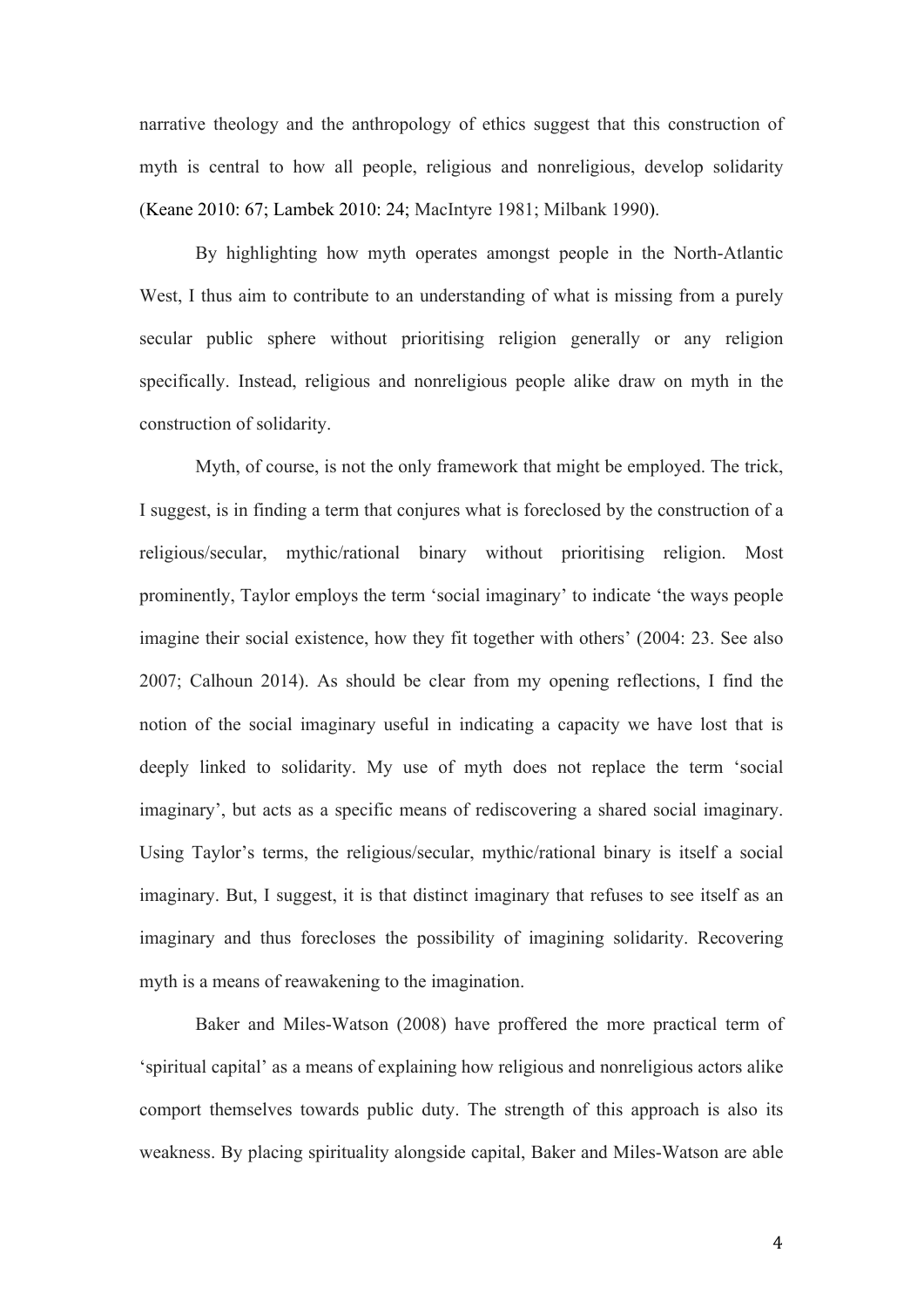narrative theology and the anthropology of ethics suggest that this construction of myth is central to how all people, religious and nonreligious, develop solidarity (Keane 2010: 67; Lambek 2010: 24; MacIntyre 1981; Milbank 1990).

By highlighting how myth operates amongst people in the North-Atlantic West, I thus aim to contribute to an understanding of what is missing from a purely secular public sphere without prioritising religion generally or any religion specifically. Instead, religious and nonreligious people alike draw on myth in the construction of solidarity.

Myth, of course, is not the only framework that might be employed. The trick, I suggest, is in finding a term that conjures what is foreclosed by the construction of a religious/secular, mythic/rational binary without prioritising religion. Most prominently, Taylor employs the term 'social imaginary' to indicate 'the ways people imagine their social existence, how they fit together with others' (2004: 23. See also 2007; Calhoun 2014). As should be clear from my opening reflections, I find the notion of the social imaginary useful in indicating a capacity we have lost that is deeply linked to solidarity. My use of myth does not replace the term 'social imaginary', but acts as a specific means of rediscovering a shared social imaginary. Using Taylor's terms, the religious/secular, mythic/rational binary is itself a social imaginary. But, I suggest, it is that distinct imaginary that refuses to see itself as an imaginary and thus forecloses the possibility of imagining solidarity. Recovering myth is a means of reawakening to the imagination.

Baker and Miles-Watson (2008) have proffered the more practical term of 'spiritual capital' as a means of explaining how religious and nonreligious actors alike comport themselves towards public duty. The strength of this approach is also its weakness. By placing spirituality alongside capital, Baker and Miles-Watson are able

4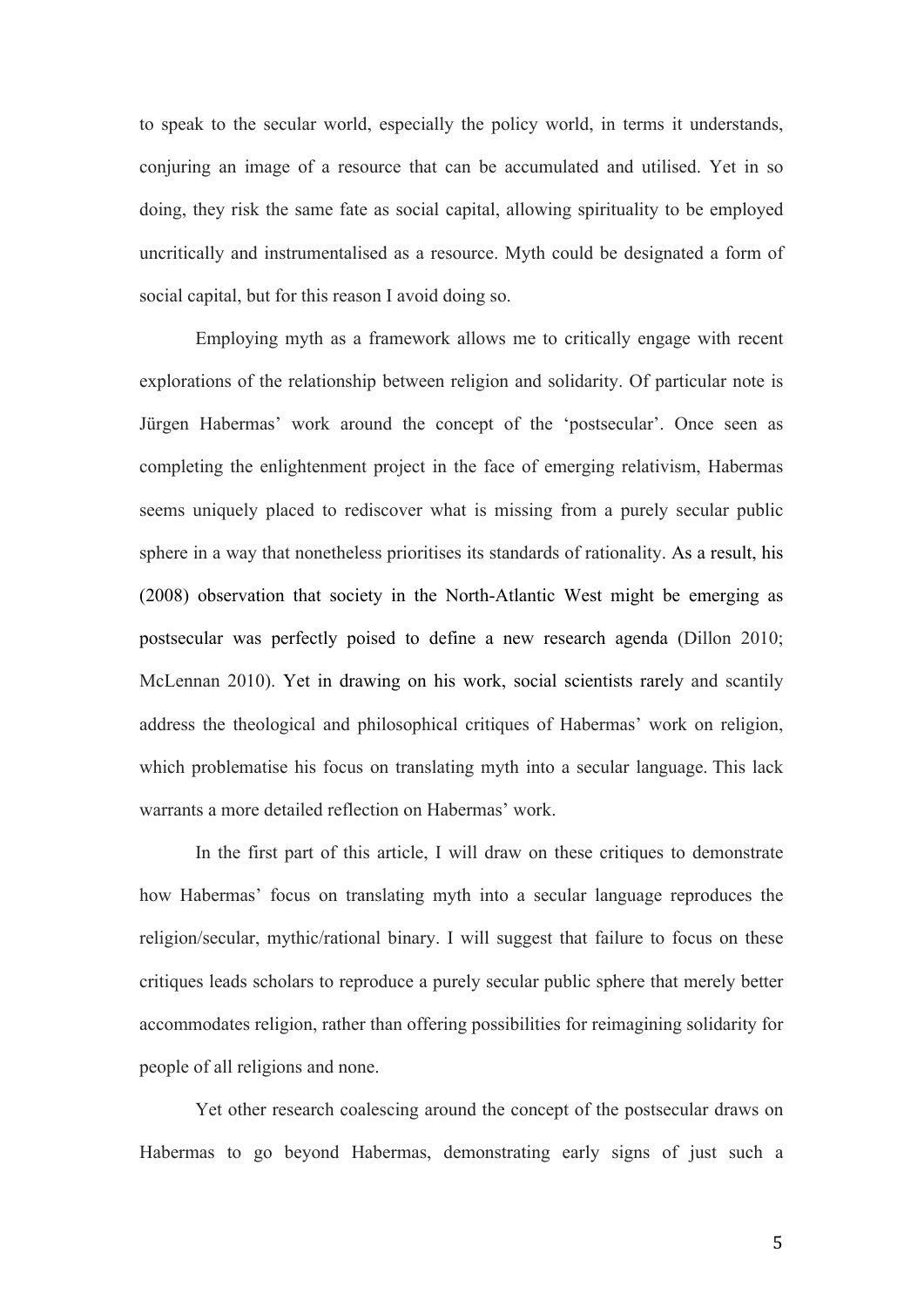to speak to the secular world, especially the policy world, in terms it understands, conjuring an image of a resource that can be accumulated and utilised. Yet in so doing, they risk the same fate as social capital, allowing spirituality to be employed uncritically and instrumentalised as a resource. Myth could be designated a form of social capital, but for this reason I avoid doing so.

Employing myth as a framework allows me to critically engage with recent explorations of the relationship between religion and solidarity. Of particular note is Jürgen Habermas' work around the concept of the 'postsecular'. Once seen as completing the enlightenment project in the face of emerging relativism, Habermas seems uniquely placed to rediscover what is missing from a purely secular public sphere in a way that nonetheless prioritises its standards of rationality. As a result, his (2008) observation that society in the North-Atlantic West might be emerging as postsecular was perfectly poised to define a new research agenda (Dillon 2010; McLennan 2010). Yet in drawing on his work, social scientists rarely and scantily address the theological and philosophical critiques of Habermas' work on religion, which problematise his focus on translating myth into a secular language. This lack warrants a more detailed reflection on Habermas' work.

In the first part of this article, I will draw on these critiques to demonstrate how Habermas' focus on translating myth into a secular language reproduces the religion/secular, mythic/rational binary. I will suggest that failure to focus on these critiques leads scholars to reproduce a purely secular public sphere that merely better accommodates religion, rather than offering possibilities for reimagining solidarity for people of all religions and none.

Yet other research coalescing around the concept of the postsecular draws on Habermas to go beyond Habermas, demonstrating early signs of just such a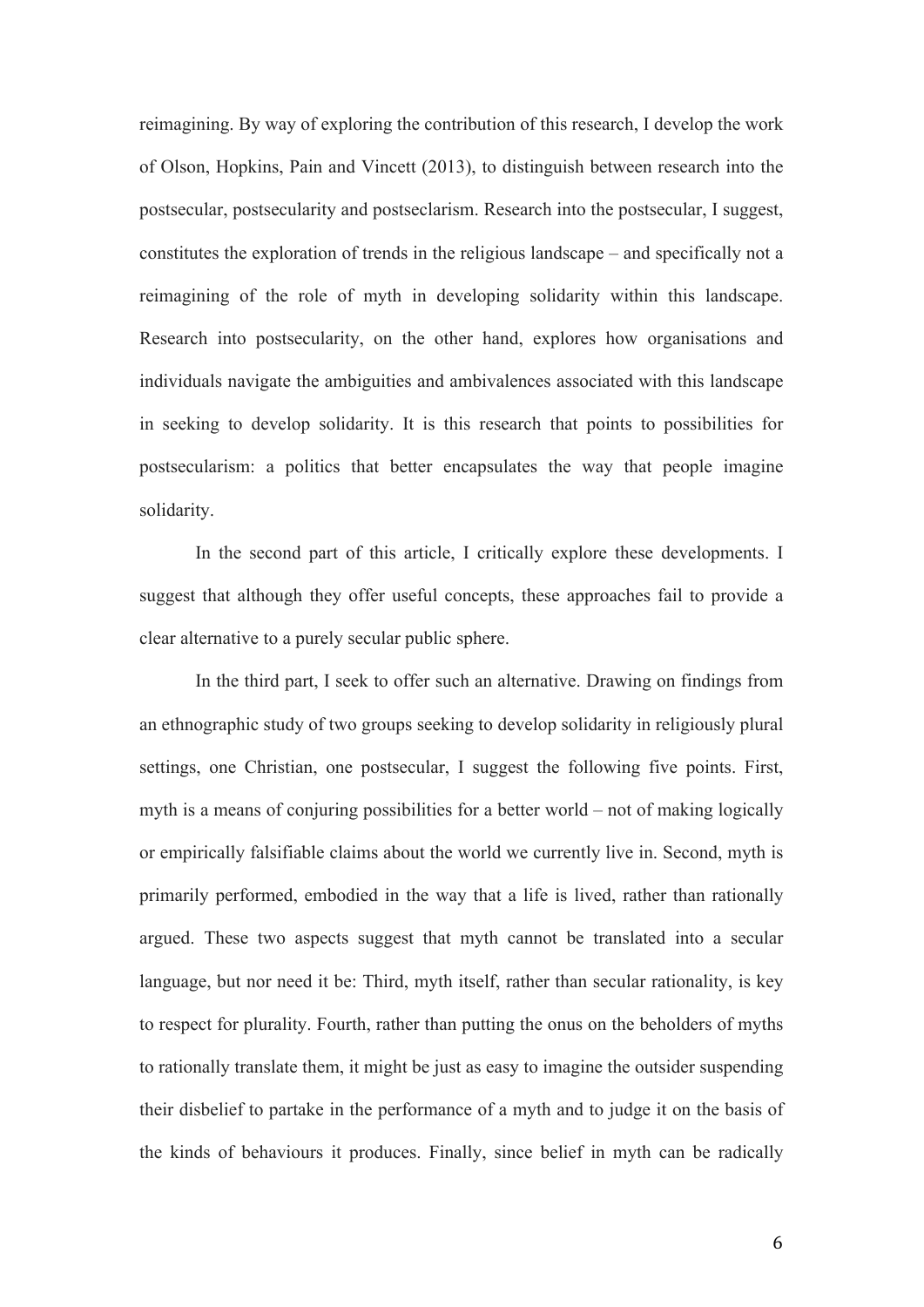reimagining. By way of exploring the contribution of this research, I develop the work of Olson, Hopkins, Pain and Vincett (2013), to distinguish between research into the postsecular, postsecularity and postseclarism. Research into the postsecular, I suggest, constitutes the exploration of trends in the religious landscape – and specifically not a reimagining of the role of myth in developing solidarity within this landscape. Research into postsecularity, on the other hand, explores how organisations and individuals navigate the ambiguities and ambivalences associated with this landscape in seeking to develop solidarity. It is this research that points to possibilities for postsecularism: a politics that better encapsulates the way that people imagine solidarity.

In the second part of this article, I critically explore these developments. I suggest that although they offer useful concepts, these approaches fail to provide a clear alternative to a purely secular public sphere.

In the third part, I seek to offer such an alternative. Drawing on findings from an ethnographic study of two groups seeking to develop solidarity in religiously plural settings, one Christian, one postsecular, I suggest the following five points. First, myth is a means of conjuring possibilities for a better world – not of making logically or empirically falsifiable claims about the world we currently live in. Second, myth is primarily performed, embodied in the way that a life is lived, rather than rationally argued. These two aspects suggest that myth cannot be translated into a secular language, but nor need it be: Third, myth itself, rather than secular rationality, is key to respect for plurality. Fourth, rather than putting the onus on the beholders of myths to rationally translate them, it might be just as easy to imagine the outsider suspending their disbelief to partake in the performance of a myth and to judge it on the basis of the kinds of behaviours it produces. Finally, since belief in myth can be radically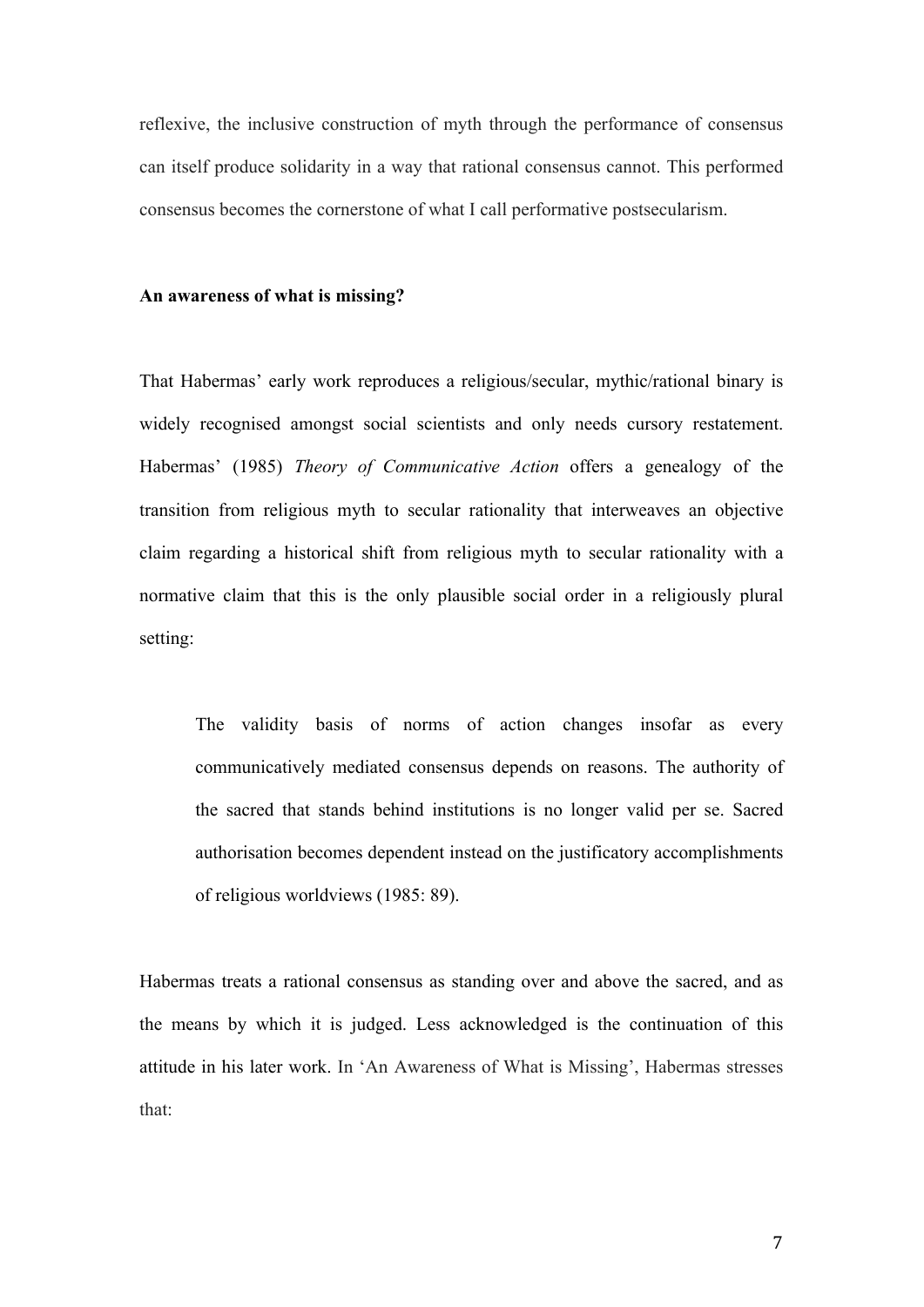reflexive, the inclusive construction of myth through the performance of consensus can itself produce solidarity in a way that rational consensus cannot. This performed consensus becomes the cornerstone of what I call performative postsecularism.

#### **An awareness of what is missing?**

That Habermas' early work reproduces a religious/secular, mythic/rational binary is widely recognised amongst social scientists and only needs cursory restatement. Habermas' (1985) *Theory of Communicative Action* offers a genealogy of the transition from religious myth to secular rationality that interweaves an objective claim regarding a historical shift from religious myth to secular rationality with a normative claim that this is the only plausible social order in a religiously plural setting:

The validity basis of norms of action changes insofar as every communicatively mediated consensus depends on reasons. The authority of the sacred that stands behind institutions is no longer valid per se. Sacred authorisation becomes dependent instead on the justificatory accomplishments of religious worldviews (1985: 89).

Habermas treats a rational consensus as standing over and above the sacred, and as the means by which it is judged. Less acknowledged is the continuation of this attitude in his later work. In 'An Awareness of What is Missing', Habermas stresses that: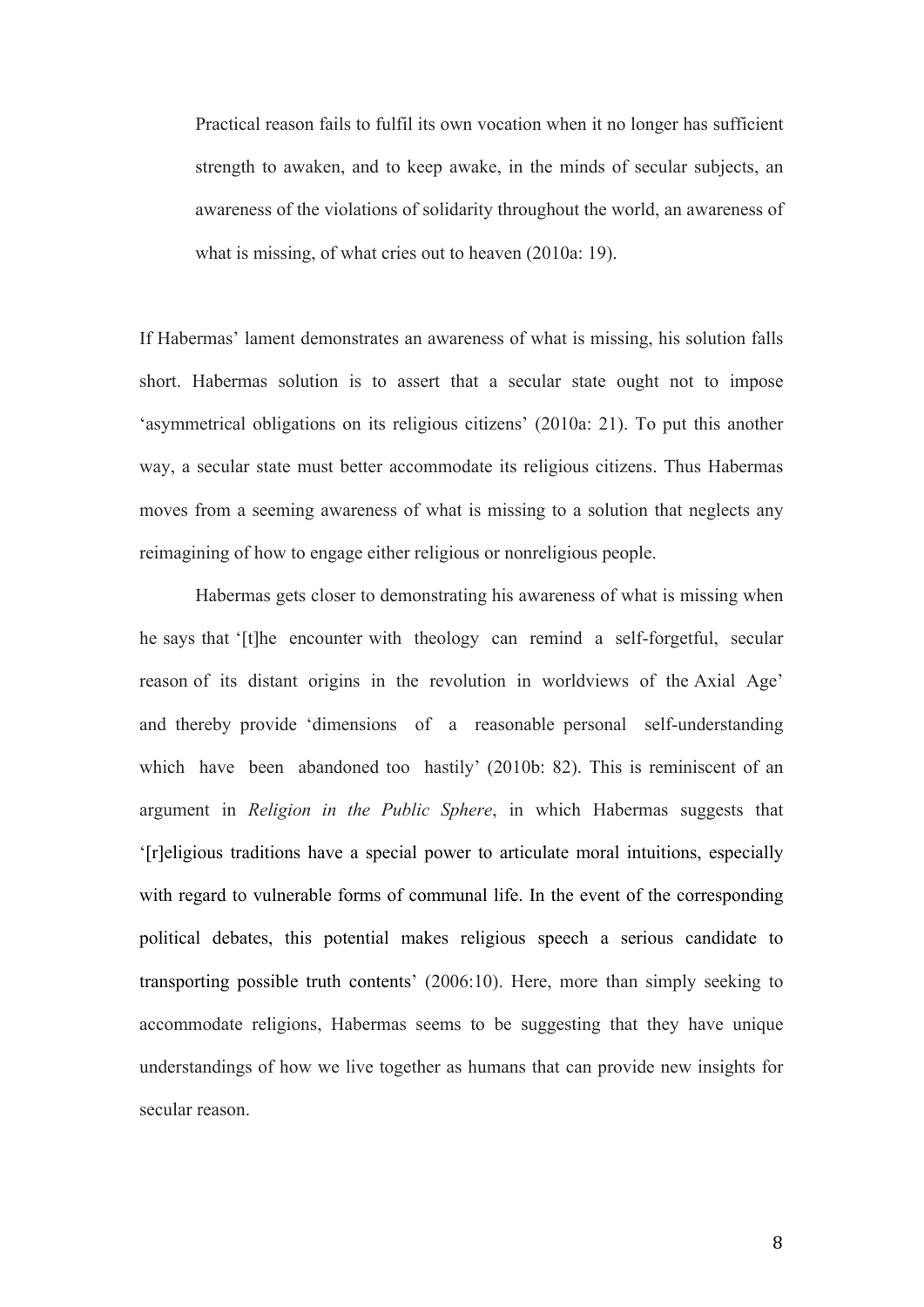Practical reason fails to fulfil its own vocation when it no longer has sufficient strength to awaken, and to keep awake, in the minds of secular subjects, an awareness of the violations of solidarity throughout the world, an awareness of what is missing, of what cries out to heaven  $(2010a: 19)$ .

If Habermas' lament demonstrates an awareness of what is missing, his solution falls short. Habermas solution is to assert that a secular state ought not to impose 'asymmetrical obligations on its religious citizens' (2010a: 21). To put this another way, a secular state must better accommodate its religious citizens. Thus Habermas moves from a seeming awareness of what is missing to a solution that neglects any reimagining of how to engage either religious or nonreligious people.

Habermas gets closer to demonstrating his awareness of what is missing when he says that '[t]he encounter with theology can remind a self-forgetful, secular reason of its distant origins in the revolution in worldviews of the Axial Age' and thereby provide 'dimensions of a reasonable personal self-understanding which have been abandoned too hastily' (2010b: 82). This is reminiscent of an argument in *Religion in the Public Sphere*, in which Habermas suggests that '[r]eligious traditions have a special power to articulate moral intuitions, especially with regard to vulnerable forms of communal life. In the event of the corresponding political debates, this potential makes religious speech a serious candidate to transporting possible truth contents' (2006:10). Here, more than simply seeking to accommodate religions, Habermas seems to be suggesting that they have unique understandings of how we live together as humans that can provide new insights for secular reason.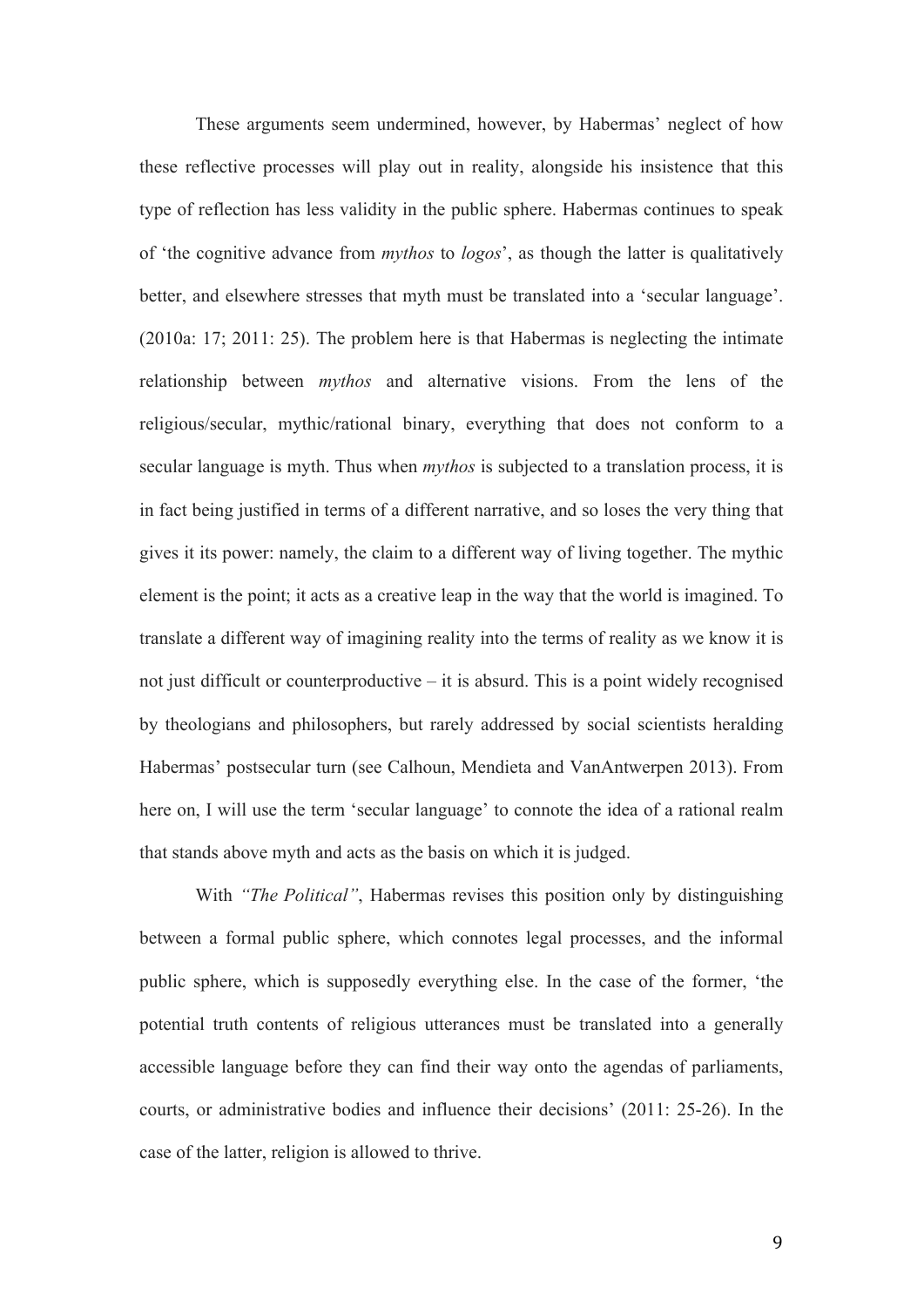These arguments seem undermined, however, by Habermas' neglect of how these reflective processes will play out in reality, alongside his insistence that this type of reflection has less validity in the public sphere. Habermas continues to speak of 'the cognitive advance from *mythos* to *logos*', as though the latter is qualitatively better, and elsewhere stresses that myth must be translated into a 'secular language'. (2010a: 17; 2011: 25). The problem here is that Habermas is neglecting the intimate relationship between *mythos* and alternative visions. From the lens of the religious/secular, mythic/rational binary, everything that does not conform to a secular language is myth. Thus when *mythos* is subjected to a translation process, it is in fact being justified in terms of a different narrative, and so loses the very thing that gives it its power: namely, the claim to a different way of living together. The mythic element is the point; it acts as a creative leap in the way that the world is imagined. To translate a different way of imagining reality into the terms of reality as we know it is not just difficult or counterproductive – it is absurd. This is a point widely recognised by theologians and philosophers, but rarely addressed by social scientists heralding Habermas' postsecular turn (see Calhoun, Mendieta and VanAntwerpen 2013). From here on, I will use the term 'secular language' to connote the idea of a rational realm that stands above myth and acts as the basis on which it is judged.

With *"The Political"*, Habermas revises this position only by distinguishing between a formal public sphere, which connotes legal processes, and the informal public sphere, which is supposedly everything else. In the case of the former, 'the potential truth contents of religious utterances must be translated into a generally accessible language before they can find their way onto the agendas of parliaments, courts, or administrative bodies and influence their decisions' (2011: 25-26). In the case of the latter, religion is allowed to thrive.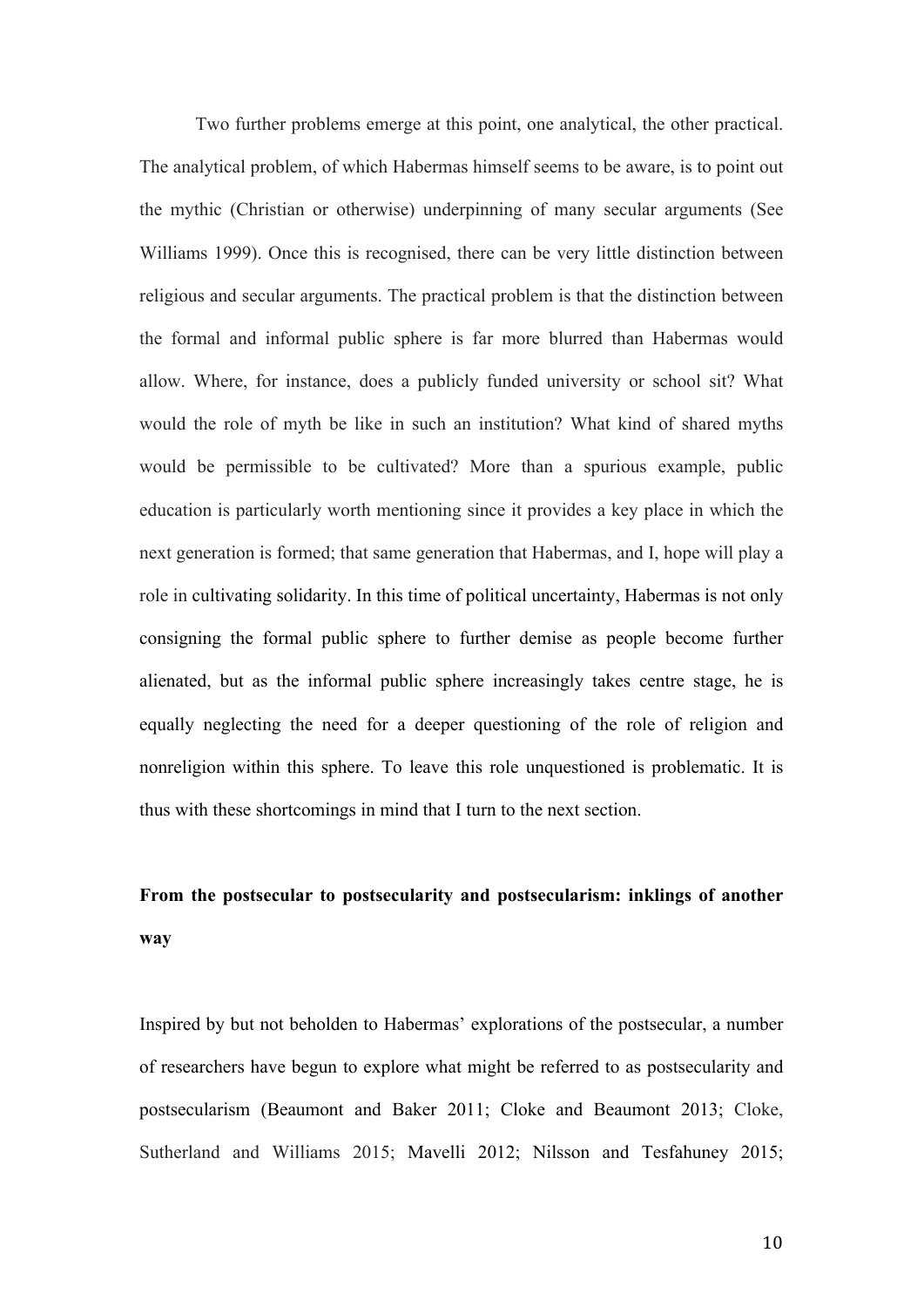Two further problems emerge at this point, one analytical, the other practical. The analytical problem, of which Habermas himself seems to be aware, is to point out the mythic (Christian or otherwise) underpinning of many secular arguments (See Williams 1999). Once this is recognised, there can be very little distinction between religious and secular arguments. The practical problem is that the distinction between the formal and informal public sphere is far more blurred than Habermas would allow. Where, for instance, does a publicly funded university or school sit? What would the role of myth be like in such an institution? What kind of shared myths would be permissible to be cultivated? More than a spurious example, public education is particularly worth mentioning since it provides a key place in which the next generation is formed; that same generation that Habermas, and I, hope will play a role in cultivating solidarity. In this time of political uncertainty, Habermas is not only consigning the formal public sphere to further demise as people become further alienated, but as the informal public sphere increasingly takes centre stage, he is equally neglecting the need for a deeper questioning of the role of religion and nonreligion within this sphere. To leave this role unquestioned is problematic. It is thus with these shortcomings in mind that I turn to the next section.

## **From the postsecular to postsecularity and postsecularism: inklings of another way**

Inspired by but not beholden to Habermas' explorations of the postsecular, a number of researchers have begun to explore what might be referred to as postsecularity and postsecularism (Beaumont and Baker 2011; Cloke and Beaumont 2013; Cloke, Sutherland and Williams 2015; Mavelli 2012; Nilsson and Tesfahuney 2015;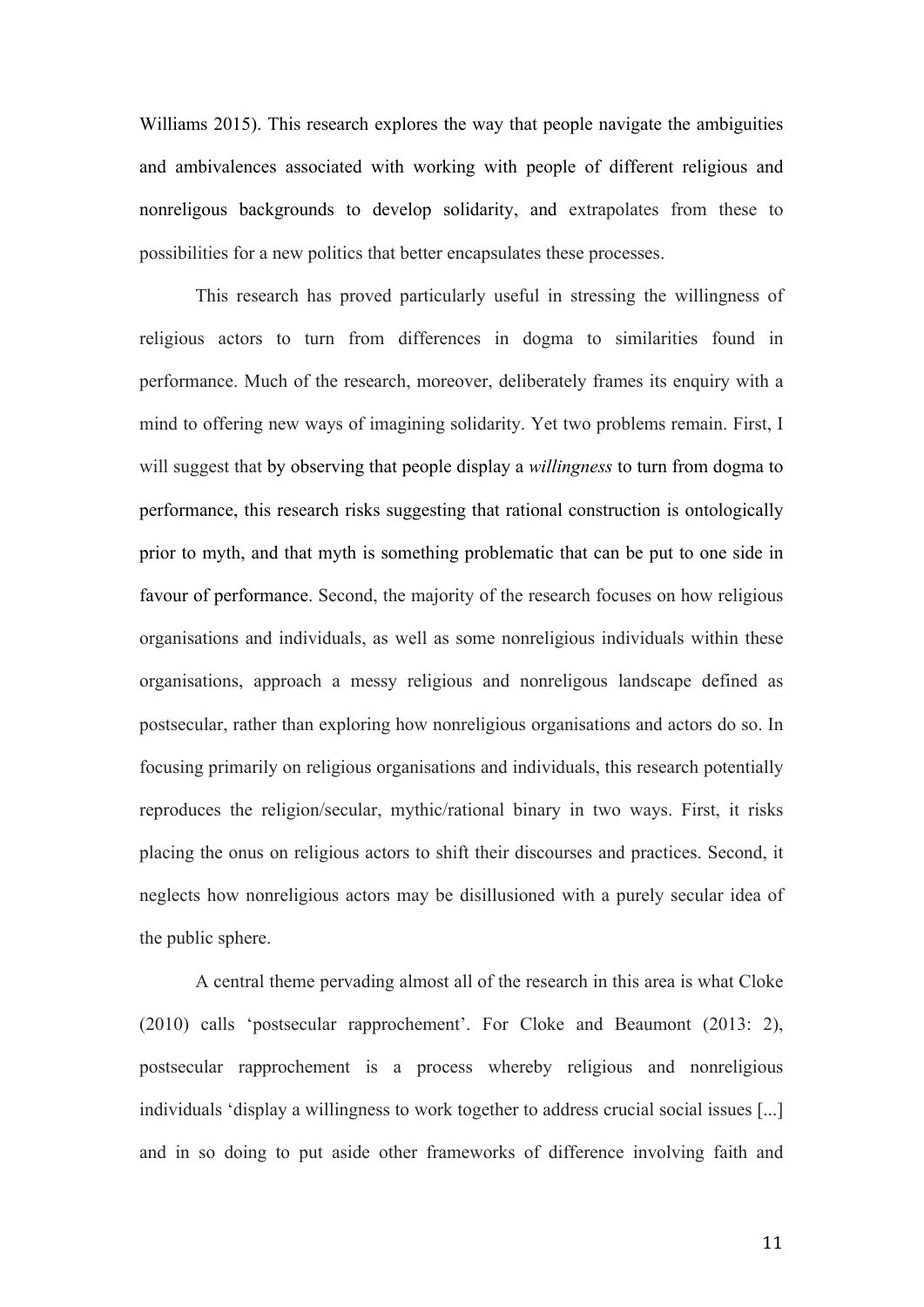Williams 2015). This research explores the way that people navigate the ambiguities and ambivalences associated with working with people of different religious and nonreligous backgrounds to develop solidarity, and extrapolates from these to possibilities for a new politics that better encapsulates these processes.

This research has proved particularly useful in stressing the willingness of religious actors to turn from differences in dogma to similarities found in performance. Much of the research, moreover, deliberately frames its enquiry with a mind to offering new ways of imagining solidarity. Yet two problems remain. First, I will suggest that by observing that people display a *willingness* to turn from dogma to performance, this research risks suggesting that rational construction is ontologically prior to myth, and that myth is something problematic that can be put to one side in favour of performance. Second, the majority of the research focuses on how religious organisations and individuals, as well as some nonreligious individuals within these organisations, approach a messy religious and nonreligous landscape defined as postsecular, rather than exploring how nonreligious organisations and actors do so. In focusing primarily on religious organisations and individuals, this research potentially reproduces the religion/secular, mythic/rational binary in two ways. First, it risks placing the onus on religious actors to shift their discourses and practices. Second, it neglects how nonreligious actors may be disillusioned with a purely secular idea of the public sphere.

A central theme pervading almost all of the research in this area is what Cloke (2010) calls 'postsecular rapprochement'. For Cloke and Beaumont (2013: 2), postsecular rapprochement is a process whereby religious and nonreligious individuals 'display a willingness to work together to address crucial social issues [...] and in so doing to put aside other frameworks of difference involving faith and

11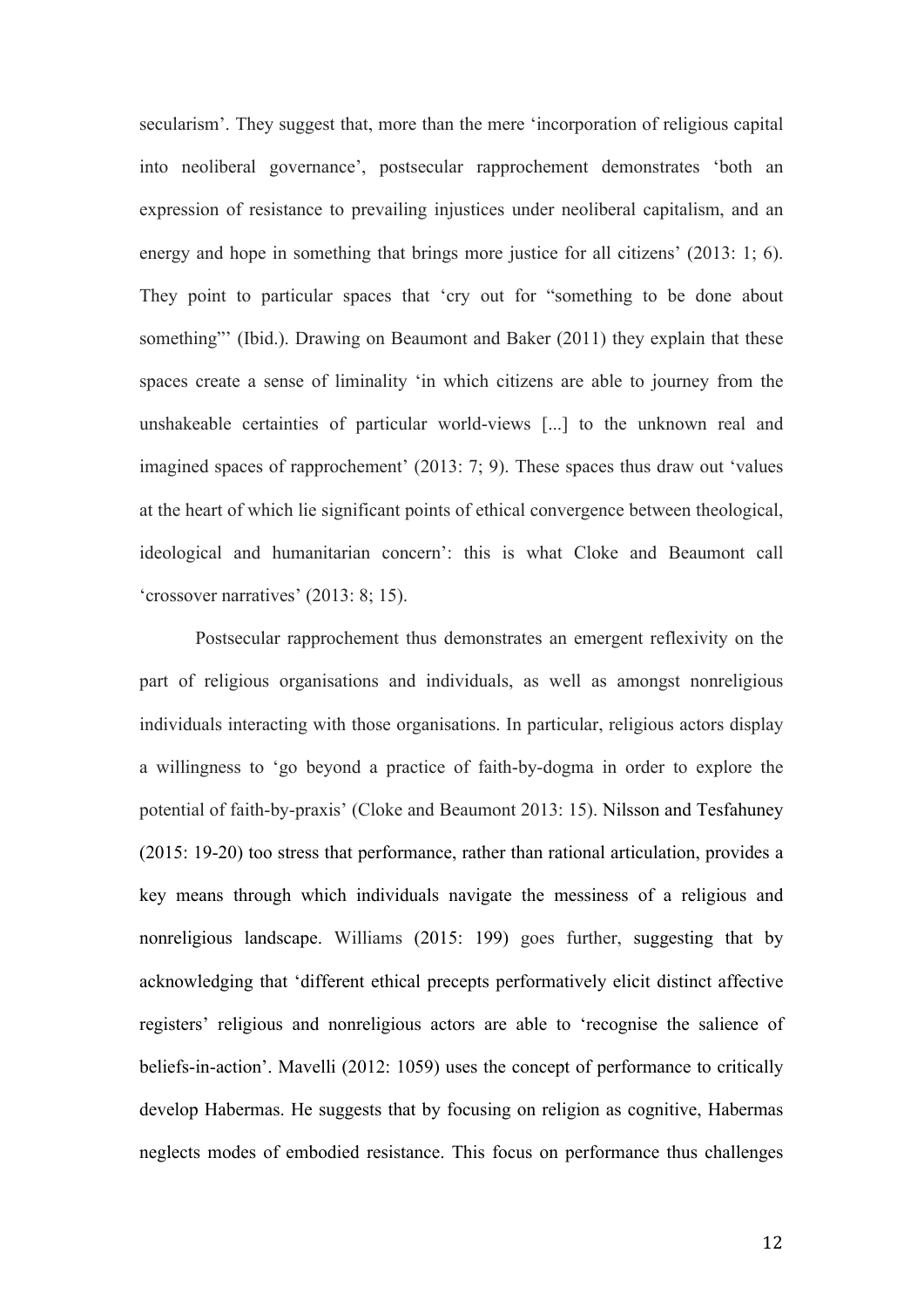secularism'. They suggest that, more than the mere 'incorporation of religious capital into neoliberal governance', postsecular rapprochement demonstrates 'both an expression of resistance to prevailing injustices under neoliberal capitalism, and an energy and hope in something that brings more justice for all citizens' (2013: 1; 6). They point to particular spaces that 'cry out for "something to be done about something"' (Ibid.). Drawing on Beaumont and Baker (2011) they explain that these spaces create a sense of liminality 'in which citizens are able to journey from the unshakeable certainties of particular world-views [...] to the unknown real and imagined spaces of rapprochement' (2013: 7; 9). These spaces thus draw out 'values at the heart of which lie significant points of ethical convergence between theological, ideological and humanitarian concern': this is what Cloke and Beaumont call 'crossover narratives' (2013: 8; 15).

Postsecular rapprochement thus demonstrates an emergent reflexivity on the part of religious organisations and individuals, as well as amongst nonreligious individuals interacting with those organisations. In particular, religious actors display a willingness to 'go beyond a practice of faith-by-dogma in order to explore the potential of faith-by-praxis' (Cloke and Beaumont 2013: 15). Nilsson and Tesfahuney (2015: 19-20) too stress that performance, rather than rational articulation, provides a key means through which individuals navigate the messiness of a religious and nonreligious landscape. Williams (2015: 199) goes further, suggesting that by acknowledging that 'different ethical precepts performatively elicit distinct affective registers' religious and nonreligious actors are able to 'recognise the salience of beliefs-in-action'. Mavelli (2012: 1059) uses the concept of performance to critically develop Habermas. He suggests that by focusing on religion as cognitive, Habermas neglects modes of embodied resistance. This focus on performance thus challenges

12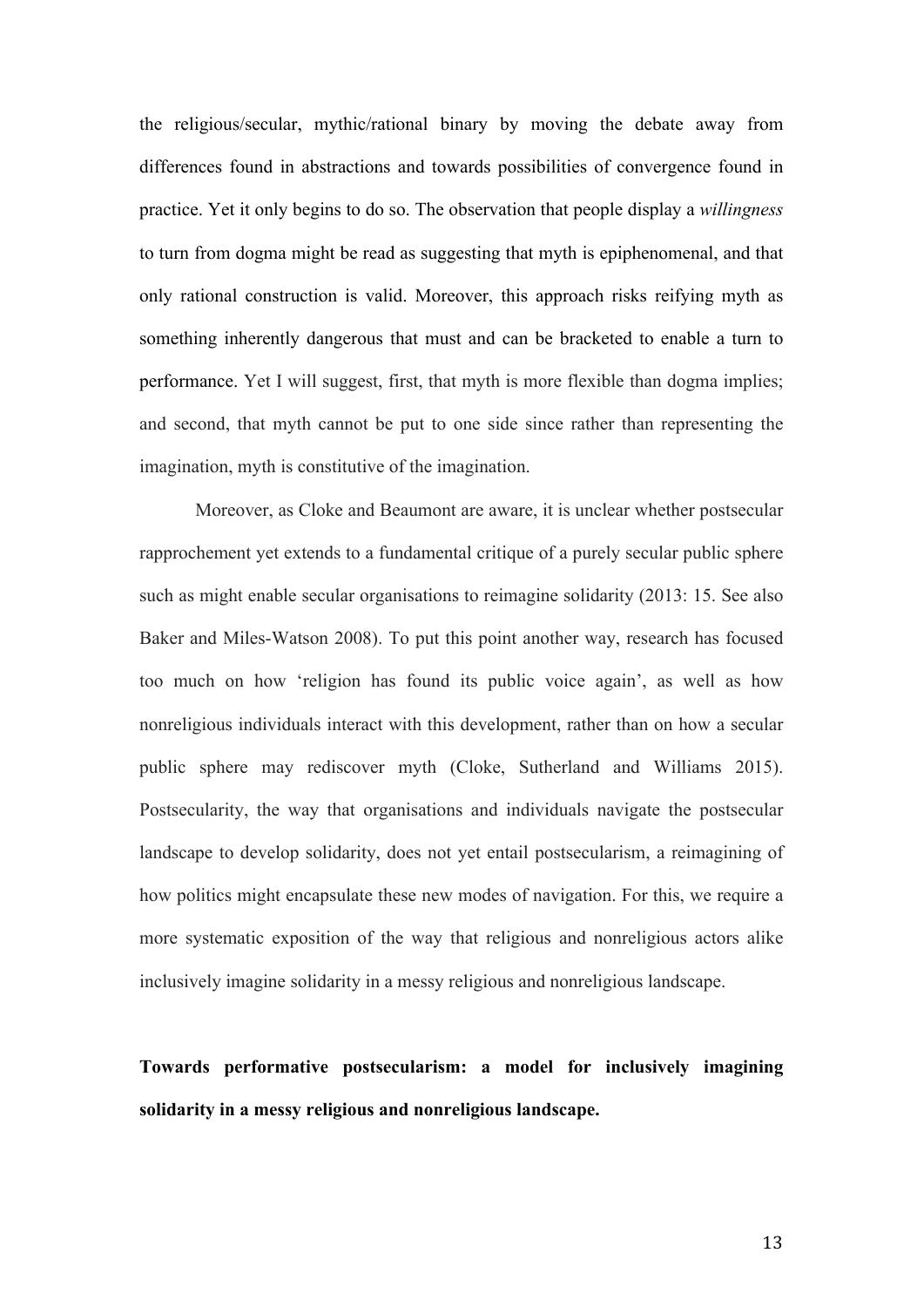the religious/secular, mythic/rational binary by moving the debate away from differences found in abstractions and towards possibilities of convergence found in practice. Yet it only begins to do so. The observation that people display a *willingness*  to turn from dogma might be read as suggesting that myth is epiphenomenal, and that only rational construction is valid. Moreover, this approach risks reifying myth as something inherently dangerous that must and can be bracketed to enable a turn to performance. Yet I will suggest, first, that myth is more flexible than dogma implies; and second, that myth cannot be put to one side since rather than representing the imagination, myth is constitutive of the imagination.

Moreover, as Cloke and Beaumont are aware, it is unclear whether postsecular rapprochement yet extends to a fundamental critique of a purely secular public sphere such as might enable secular organisations to reimagine solidarity (2013: 15. See also Baker and Miles-Watson 2008). To put this point another way, research has focused too much on how 'religion has found its public voice again', as well as how nonreligious individuals interact with this development, rather than on how a secular public sphere may rediscover myth (Cloke, Sutherland and Williams 2015). Postsecularity, the way that organisations and individuals navigate the postsecular landscape to develop solidarity, does not yet entail postsecularism, a reimagining of how politics might encapsulate these new modes of navigation. For this, we require a more systematic exposition of the way that religious and nonreligious actors alike inclusively imagine solidarity in a messy religious and nonreligious landscape.

# **Towards performative postsecularism: a model for inclusively imagining solidarity in a messy religious and nonreligious landscape.**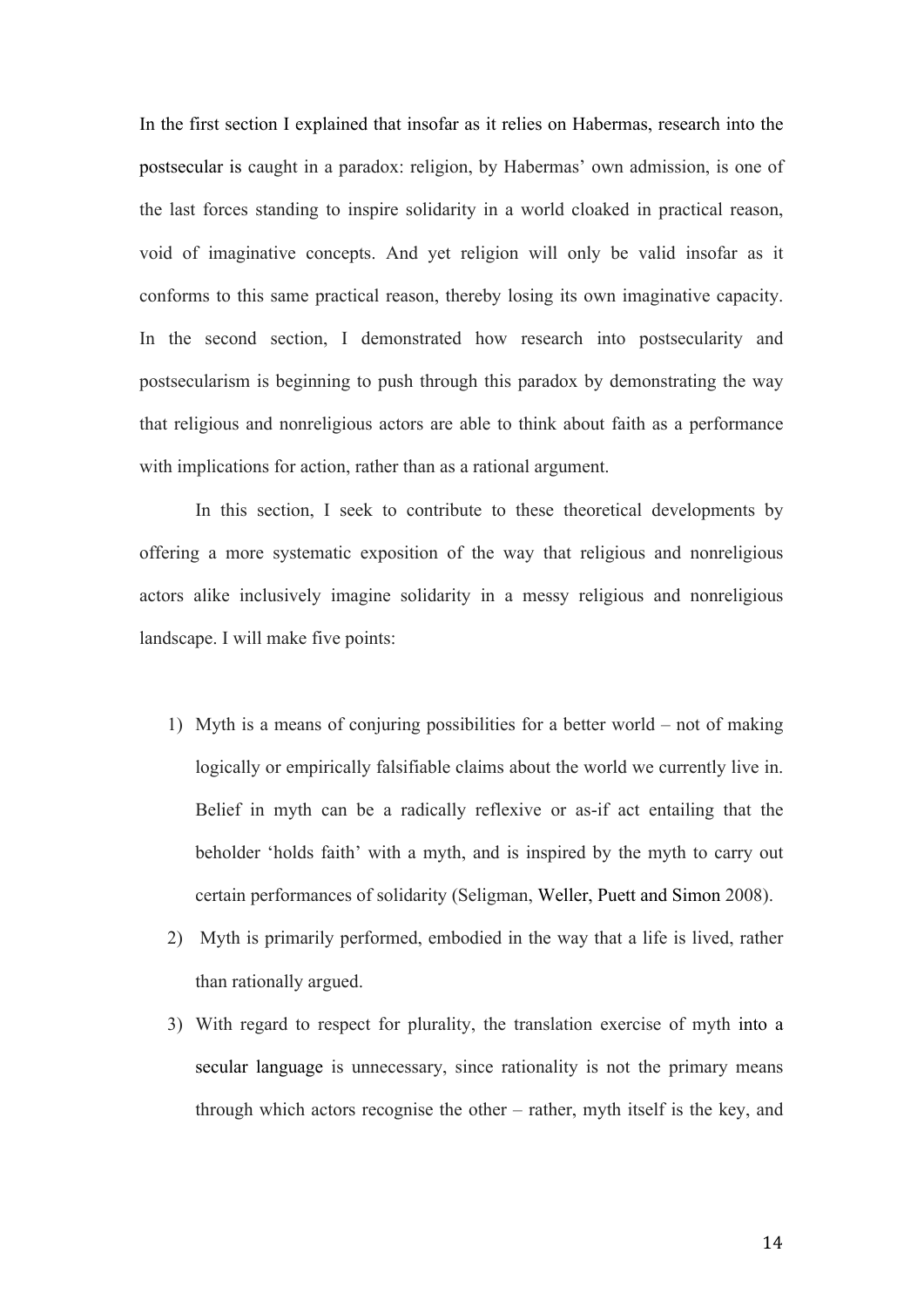In the first section I explained that insofar as it relies on Habermas, research into the postsecular is caught in a paradox: religion, by Habermas' own admission, is one of the last forces standing to inspire solidarity in a world cloaked in practical reason, void of imaginative concepts. And yet religion will only be valid insofar as it conforms to this same practical reason, thereby losing its own imaginative capacity. In the second section, I demonstrated how research into postsecularity and postsecularism is beginning to push through this paradox by demonstrating the way that religious and nonreligious actors are able to think about faith as a performance with implications for action, rather than as a rational argument.

In this section, I seek to contribute to these theoretical developments by offering a more systematic exposition of the way that religious and nonreligious actors alike inclusively imagine solidarity in a messy religious and nonreligious landscape. I will make five points:

- 1) Myth is a means of conjuring possibilities for a better world not of making logically or empirically falsifiable claims about the world we currently live in. Belief in myth can be a radically reflexive or as-if act entailing that the beholder 'holds faith' with a myth, and is inspired by the myth to carry out certain performances of solidarity (Seligman, Weller, Puett and Simon 2008).
- 2) Myth is primarily performed, embodied in the way that a life is lived, rather than rationally argued.
- 3) With regard to respect for plurality, the translation exercise of myth into a secular language is unnecessary, since rationality is not the primary means through which actors recognise the other – rather, myth itself is the key, and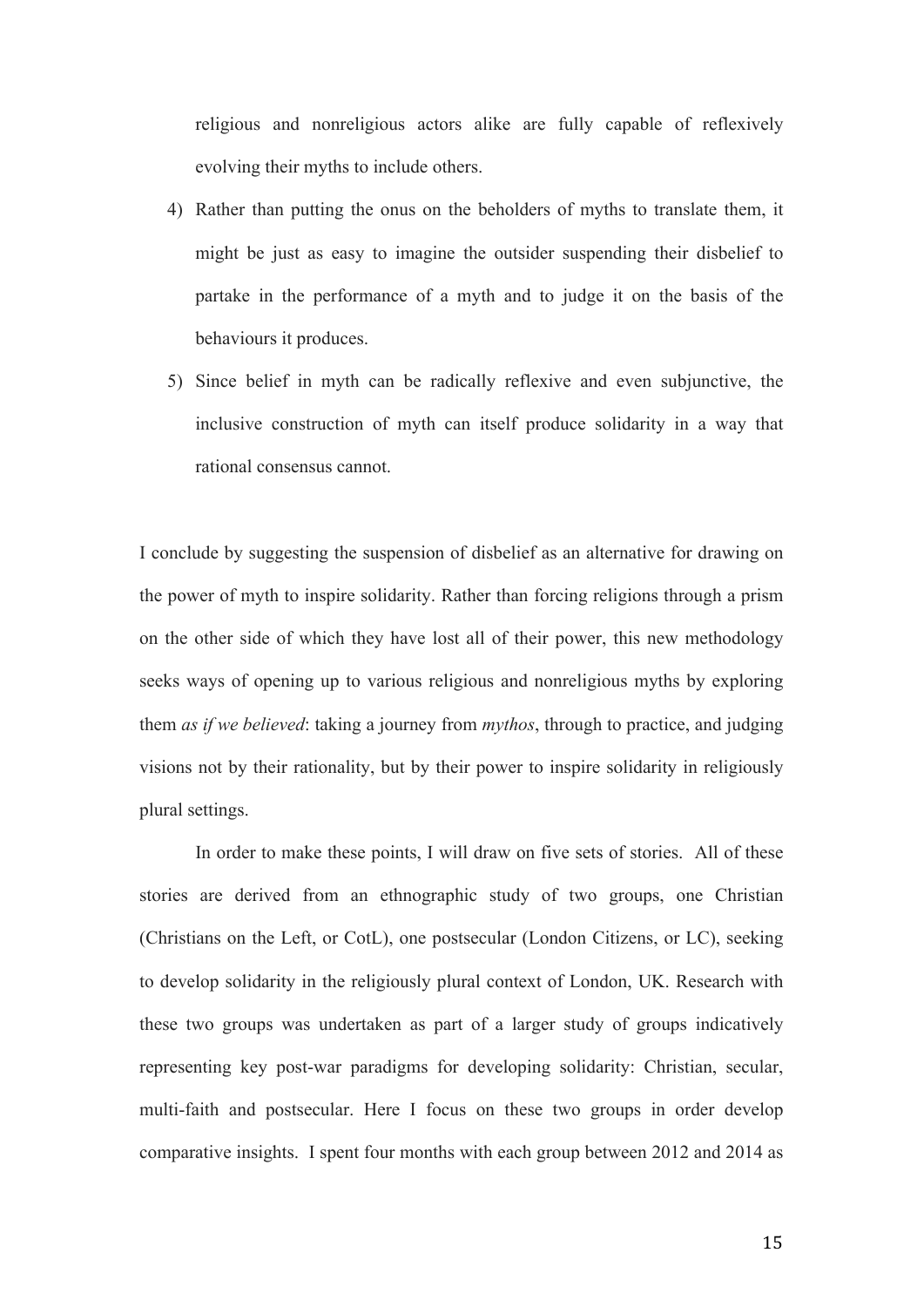religious and nonreligious actors alike are fully capable of reflexively evolving their myths to include others.

- 4) Rather than putting the onus on the beholders of myths to translate them, it might be just as easy to imagine the outsider suspending their disbelief to partake in the performance of a myth and to judge it on the basis of the behaviours it produces.
- 5) Since belief in myth can be radically reflexive and even subjunctive, the inclusive construction of myth can itself produce solidarity in a way that rational consensus cannot.

I conclude by suggesting the suspension of disbelief as an alternative for drawing on the power of myth to inspire solidarity. Rather than forcing religions through a prism on the other side of which they have lost all of their power, this new methodology seeks ways of opening up to various religious and nonreligious myths by exploring them *as if we believed*: taking a journey from *mythos*, through to practice, and judging visions not by their rationality, but by their power to inspire solidarity in religiously plural settings.

In order to make these points, I will draw on five sets of stories. All of these stories are derived from an ethnographic study of two groups, one Christian (Christians on the Left, or CotL), one postsecular (London Citizens, or LC), seeking to develop solidarity in the religiously plural context of London, UK. Research with these two groups was undertaken as part of a larger study of groups indicatively representing key post-war paradigms for developing solidarity: Christian, secular, multi-faith and postsecular. Here I focus on these two groups in order develop comparative insights. I spent four months with each group between 2012 and 2014 as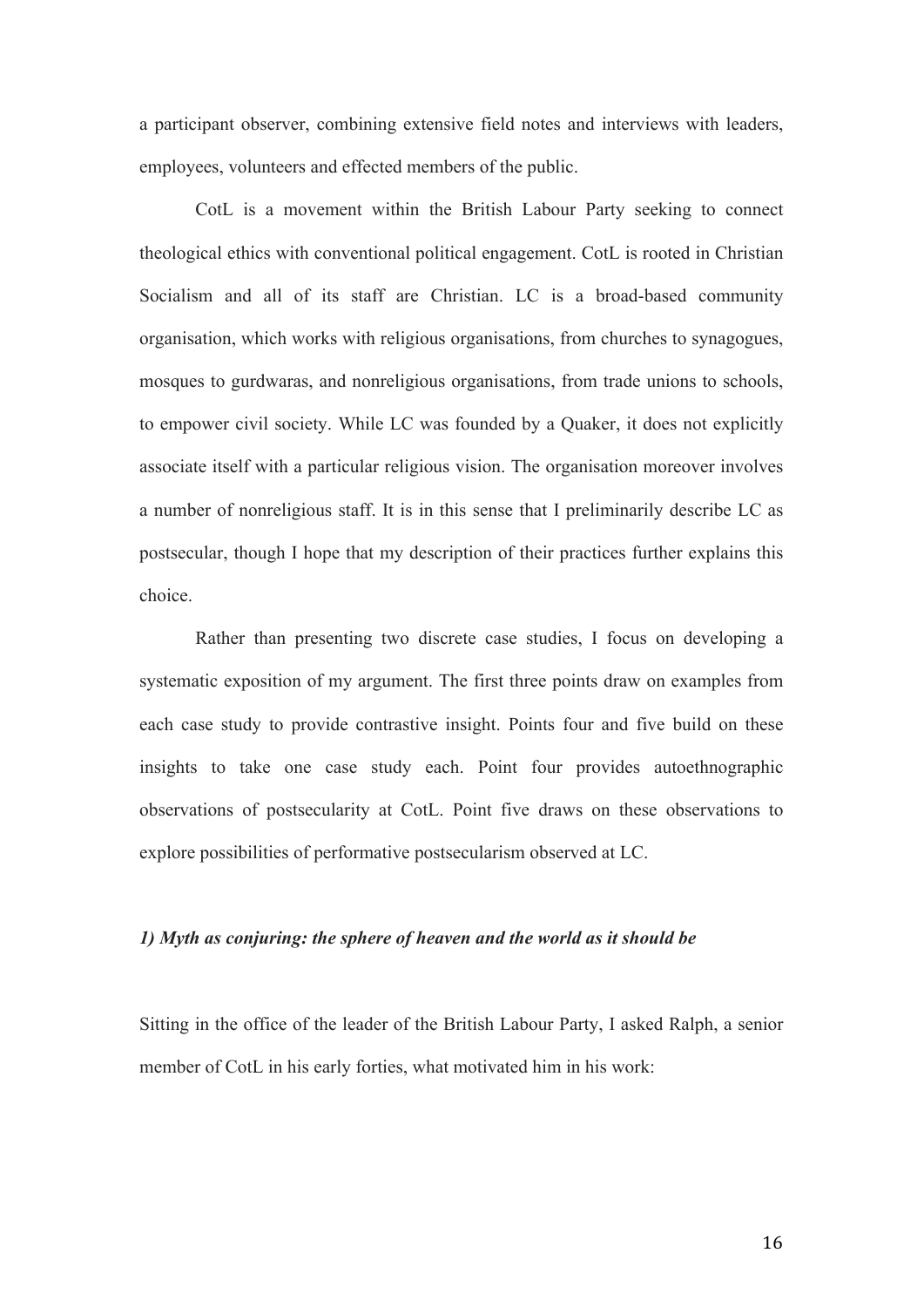a participant observer, combining extensive field notes and interviews with leaders, employees, volunteers and effected members of the public.

CotL is a movement within the British Labour Party seeking to connect theological ethics with conventional political engagement. CotL is rooted in Christian Socialism and all of its staff are Christian. LC is a broad-based community organisation, which works with religious organisations, from churches to synagogues, mosques to gurdwaras, and nonreligious organisations, from trade unions to schools, to empower civil society. While LC was founded by a Quaker, it does not explicitly associate itself with a particular religious vision. The organisation moreover involves a number of nonreligious staff. It is in this sense that I preliminarily describe LC as postsecular, though I hope that my description of their practices further explains this choice.

Rather than presenting two discrete case studies, I focus on developing a systematic exposition of my argument. The first three points draw on examples from each case study to provide contrastive insight. Points four and five build on these insights to take one case study each. Point four provides autoethnographic observations of postsecularity at CotL. Point five draws on these observations to explore possibilities of performative postsecularism observed at LC.

#### *1) Myth as conjuring: the sphere of heaven and the world as it should be*

Sitting in the office of the leader of the British Labour Party, I asked Ralph, a senior member of CotL in his early forties, what motivated him in his work: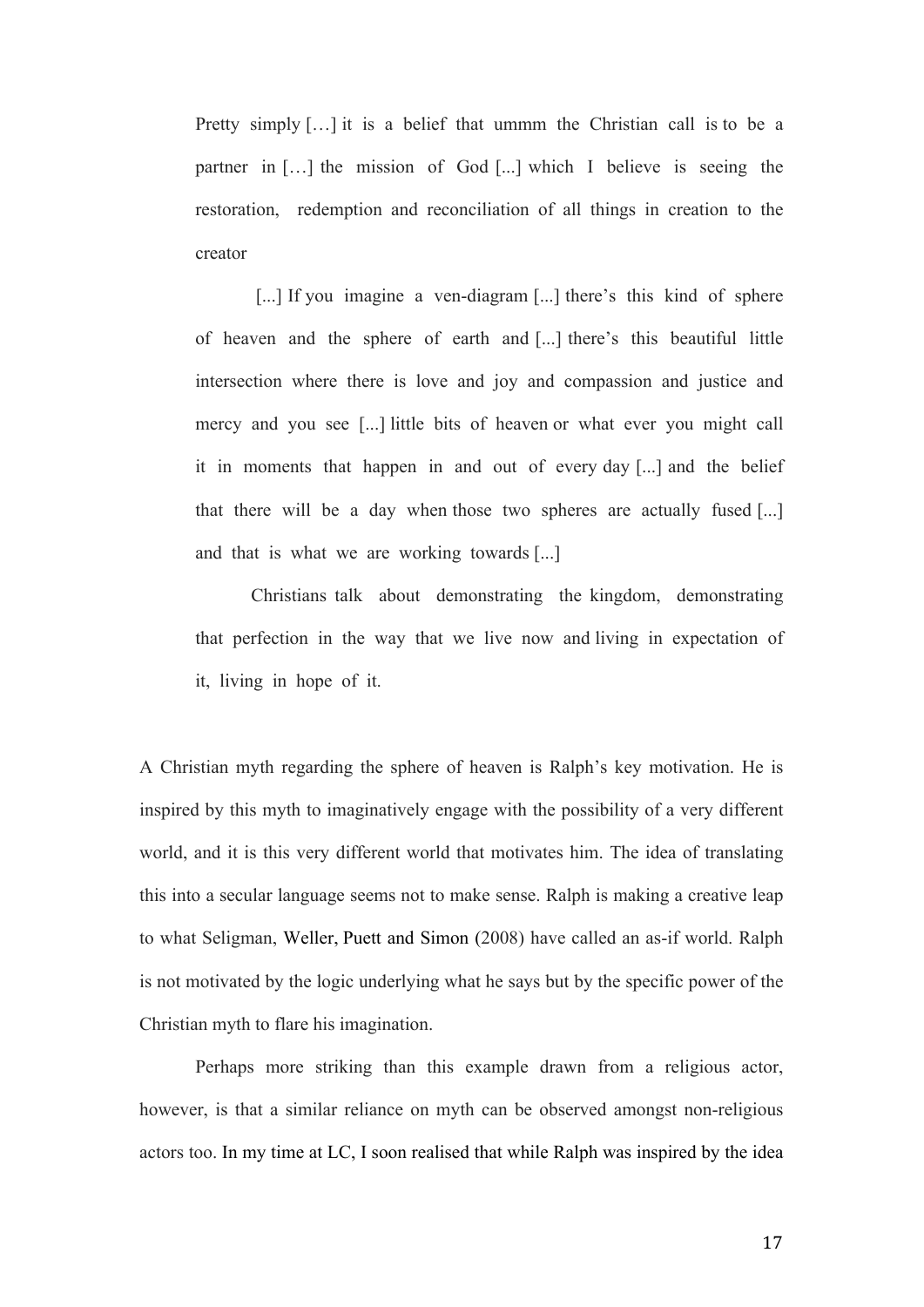Pretty simply […] it is a belief that ummm the Christian call is to be a partner in […] the mission of God [...] which I believe is seeing the restoration, redemption and reconciliation of all things in creation to the creator

[...] If you imagine a ven-diagram [...] there's this kind of sphere of heaven and the sphere of earth and [...] there's this beautiful little intersection where there is love and joy and compassion and justice and mercy and you see [...] little bits of heaven or what ever you might call it in moments that happen in and out of every day [...] and the belief that there will be a day when those two spheres are actually fused [...] and that is what we are working towards [...]

Christians talk about demonstrating the kingdom, demonstrating that perfection in the way that we live now and living in expectation of it, living in hope of it.

A Christian myth regarding the sphere of heaven is Ralph's key motivation. He is inspired by this myth to imaginatively engage with the possibility of a very different world, and it is this very different world that motivates him. The idea of translating this into a secular language seems not to make sense. Ralph is making a creative leap to what Seligman, Weller, Puett and Simon (2008) have called an as-if world. Ralph is not motivated by the logic underlying what he says but by the specific power of the Christian myth to flare his imagination.

Perhaps more striking than this example drawn from a religious actor, however, is that a similar reliance on myth can be observed amongst non-religious actors too. In my time at LC, I soon realised that while Ralph was inspired by the idea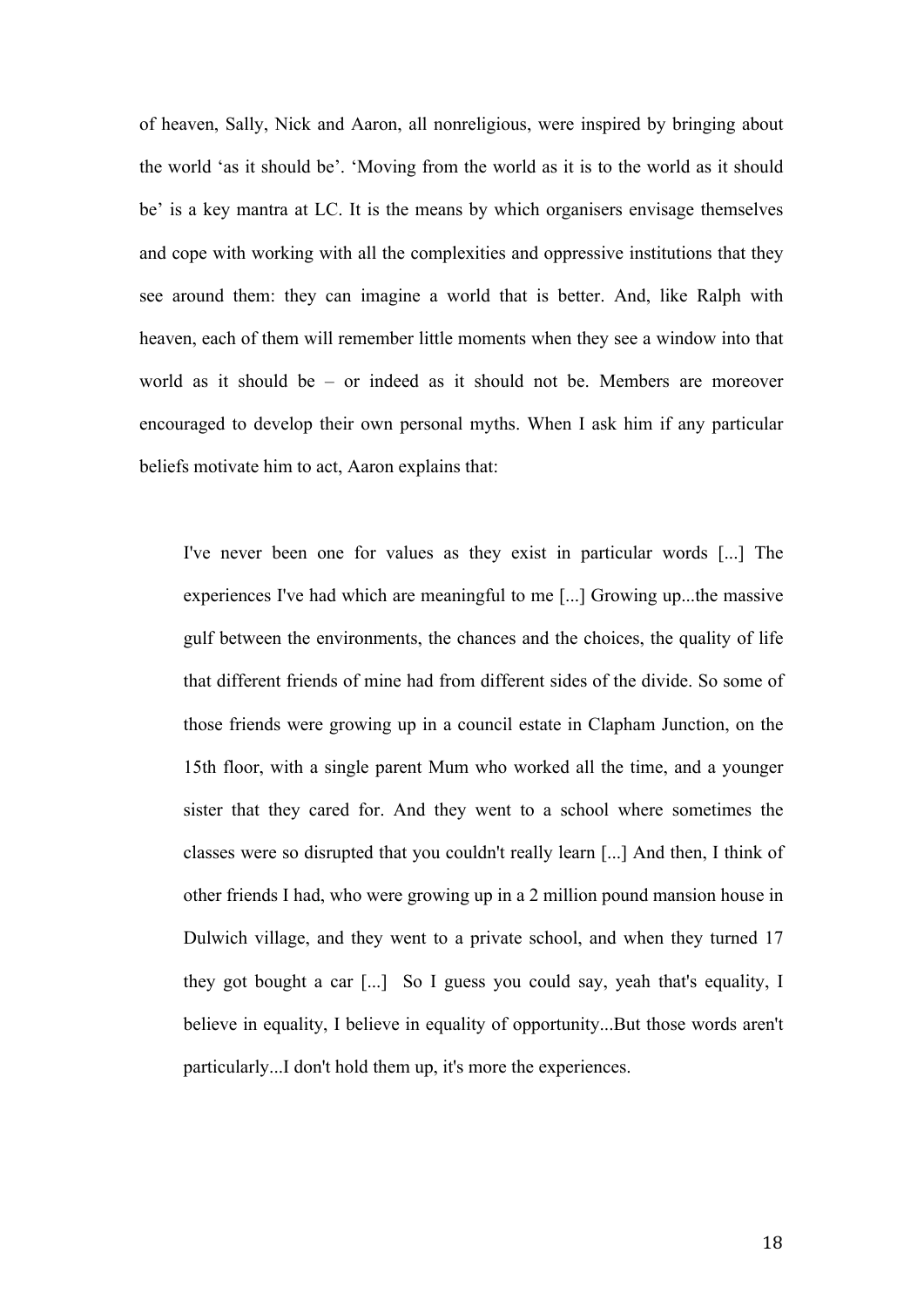of heaven, Sally, Nick and Aaron, all nonreligious, were inspired by bringing about the world 'as it should be'. 'Moving from the world as it is to the world as it should be' is a key mantra at LC. It is the means by which organisers envisage themselves and cope with working with all the complexities and oppressive institutions that they see around them: they can imagine a world that is better. And, like Ralph with heaven, each of them will remember little moments when they see a window into that world as it should be – or indeed as it should not be. Members are moreover encouraged to develop their own personal myths. When I ask him if any particular beliefs motivate him to act, Aaron explains that:

I've never been one for values as they exist in particular words [...] The experiences I've had which are meaningful to me [...] Growing up...the massive gulf between the environments, the chances and the choices, the quality of life that different friends of mine had from different sides of the divide. So some of those friends were growing up in a council estate in Clapham Junction, on the 15th floor, with a single parent Mum who worked all the time, and a younger sister that they cared for. And they went to a school where sometimes the classes were so disrupted that you couldn't really learn [...] And then, I think of other friends I had, who were growing up in a 2 million pound mansion house in Dulwich village, and they went to a private school, and when they turned 17 they got bought a car [...] So I guess you could say, yeah that's equality, I believe in equality, I believe in equality of opportunity...But those words aren't particularly...I don't hold them up, it's more the experiences.

18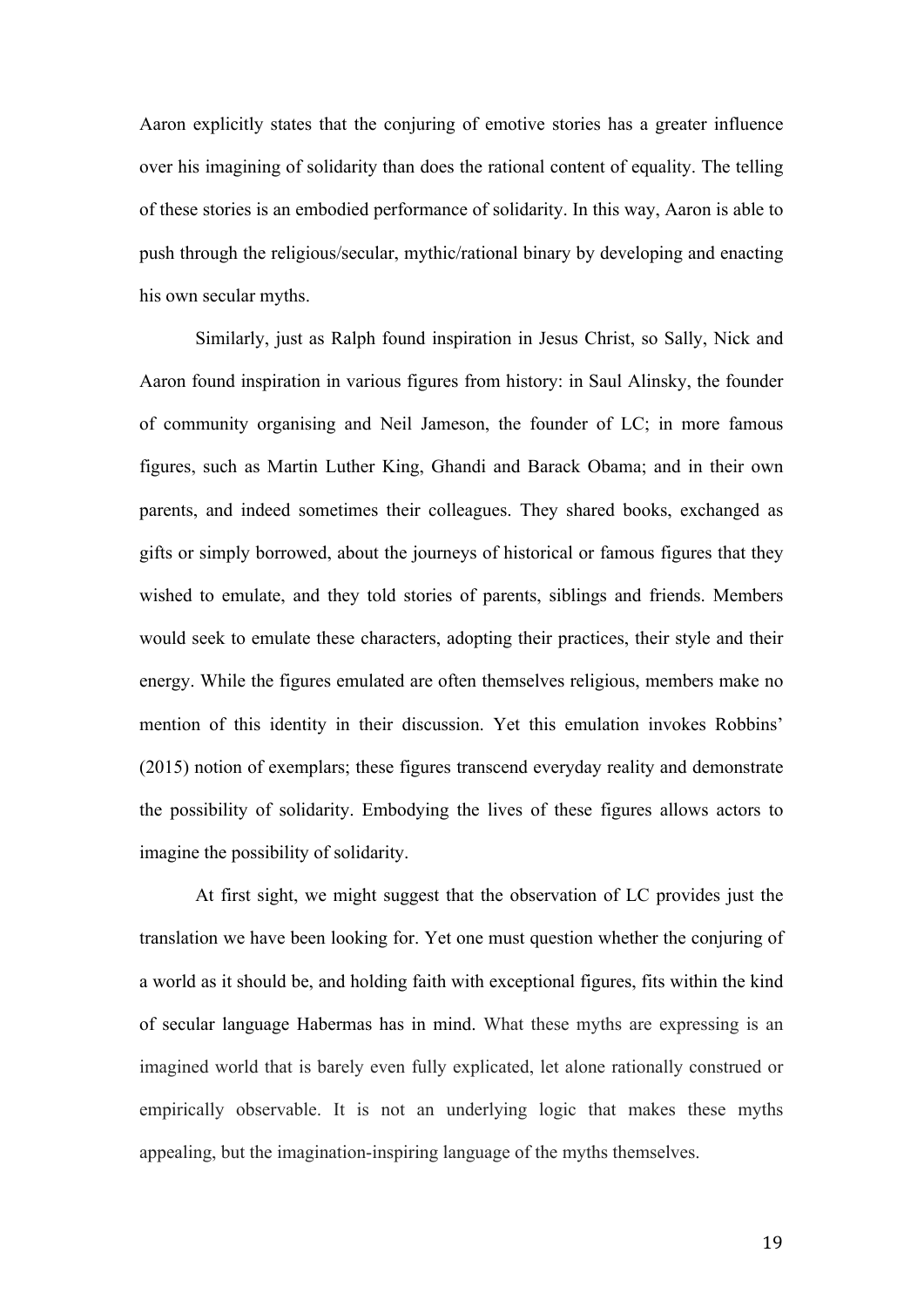Aaron explicitly states that the conjuring of emotive stories has a greater influence over his imagining of solidarity than does the rational content of equality. The telling of these stories is an embodied performance of solidarity. In this way, Aaron is able to push through the religious/secular, mythic/rational binary by developing and enacting his own secular myths.

Similarly, just as Ralph found inspiration in Jesus Christ, so Sally, Nick and Aaron found inspiration in various figures from history: in Saul Alinsky, the founder of community organising and Neil Jameson, the founder of LC; in more famous figures, such as Martin Luther King, Ghandi and Barack Obama; and in their own parents, and indeed sometimes their colleagues. They shared books, exchanged as gifts or simply borrowed, about the journeys of historical or famous figures that they wished to emulate, and they told stories of parents, siblings and friends. Members would seek to emulate these characters, adopting their practices, their style and their energy. While the figures emulated are often themselves religious, members make no mention of this identity in their discussion. Yet this emulation invokes Robbins' (2015) notion of exemplars; these figures transcend everyday reality and demonstrate the possibility of solidarity. Embodying the lives of these figures allows actors to imagine the possibility of solidarity.

At first sight, we might suggest that the observation of LC provides just the translation we have been looking for. Yet one must question whether the conjuring of a world as it should be, and holding faith with exceptional figures, fits within the kind of secular language Habermas has in mind. What these myths are expressing is an imagined world that is barely even fully explicated, let alone rationally construed or empirically observable. It is not an underlying logic that makes these myths appealing, but the imagination-inspiring language of the myths themselves.

19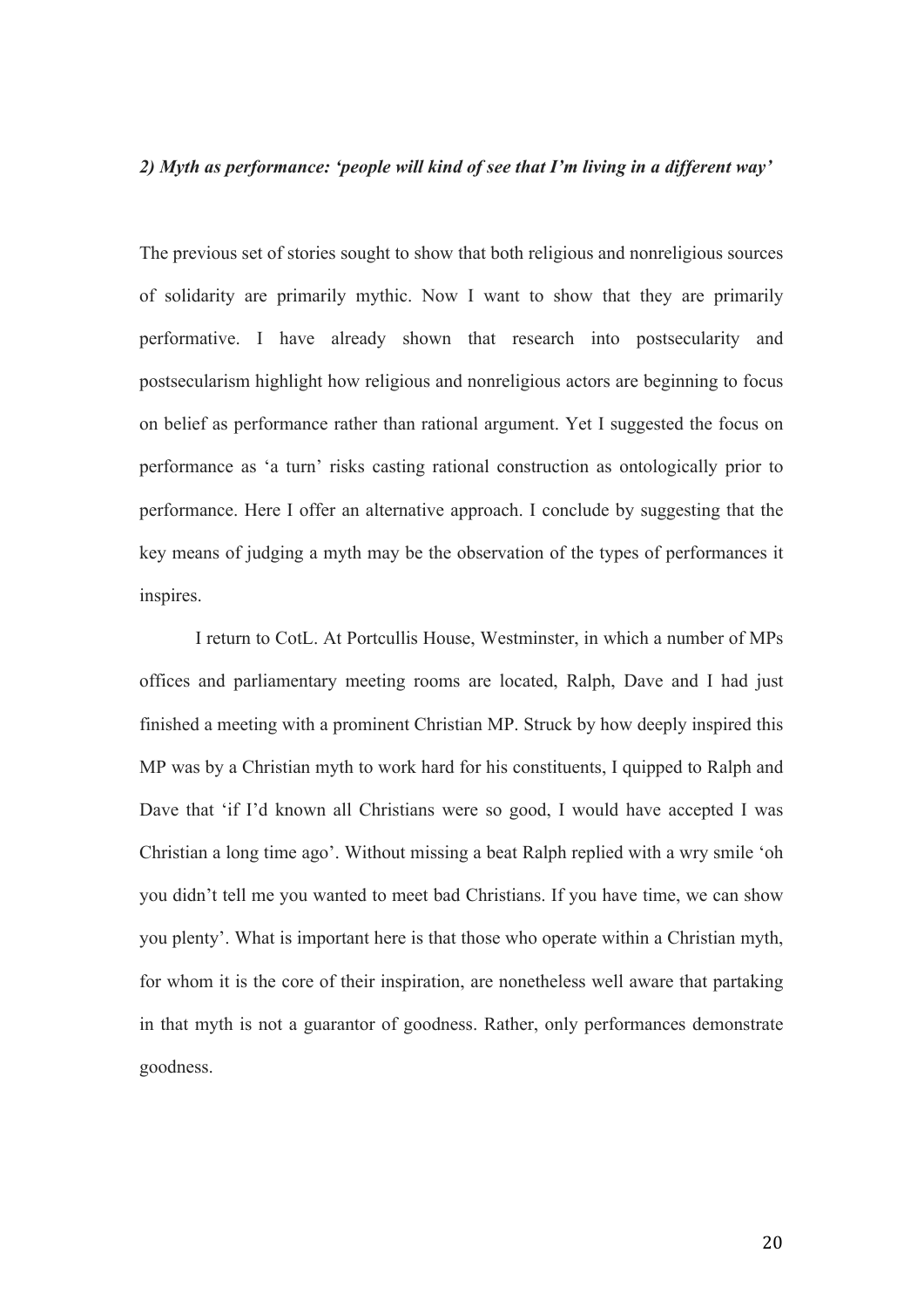## *2) Myth as performance: 'people will kind of see that I'm living in a different way'*

The previous set of stories sought to show that both religious and nonreligious sources of solidarity are primarily mythic. Now I want to show that they are primarily performative. I have already shown that research into postsecularity and postsecularism highlight how religious and nonreligious actors are beginning to focus on belief as performance rather than rational argument. Yet I suggested the focus on performance as 'a turn' risks casting rational construction as ontologically prior to performance. Here I offer an alternative approach. I conclude by suggesting that the key means of judging a myth may be the observation of the types of performances it inspires.

I return to CotL. At Portcullis House, Westminster, in which a number of MPs offices and parliamentary meeting rooms are located, Ralph, Dave and I had just finished a meeting with a prominent Christian MP. Struck by how deeply inspired this MP was by a Christian myth to work hard for his constituents, I quipped to Ralph and Dave that 'if I'd known all Christians were so good. I would have accepted I was Christian a long time ago'. Without missing a beat Ralph replied with a wry smile 'oh you didn't tell me you wanted to meet bad Christians. If you have time, we can show you plenty'. What is important here is that those who operate within a Christian myth, for whom it is the core of their inspiration, are nonetheless well aware that partaking in that myth is not a guarantor of goodness. Rather, only performances demonstrate goodness.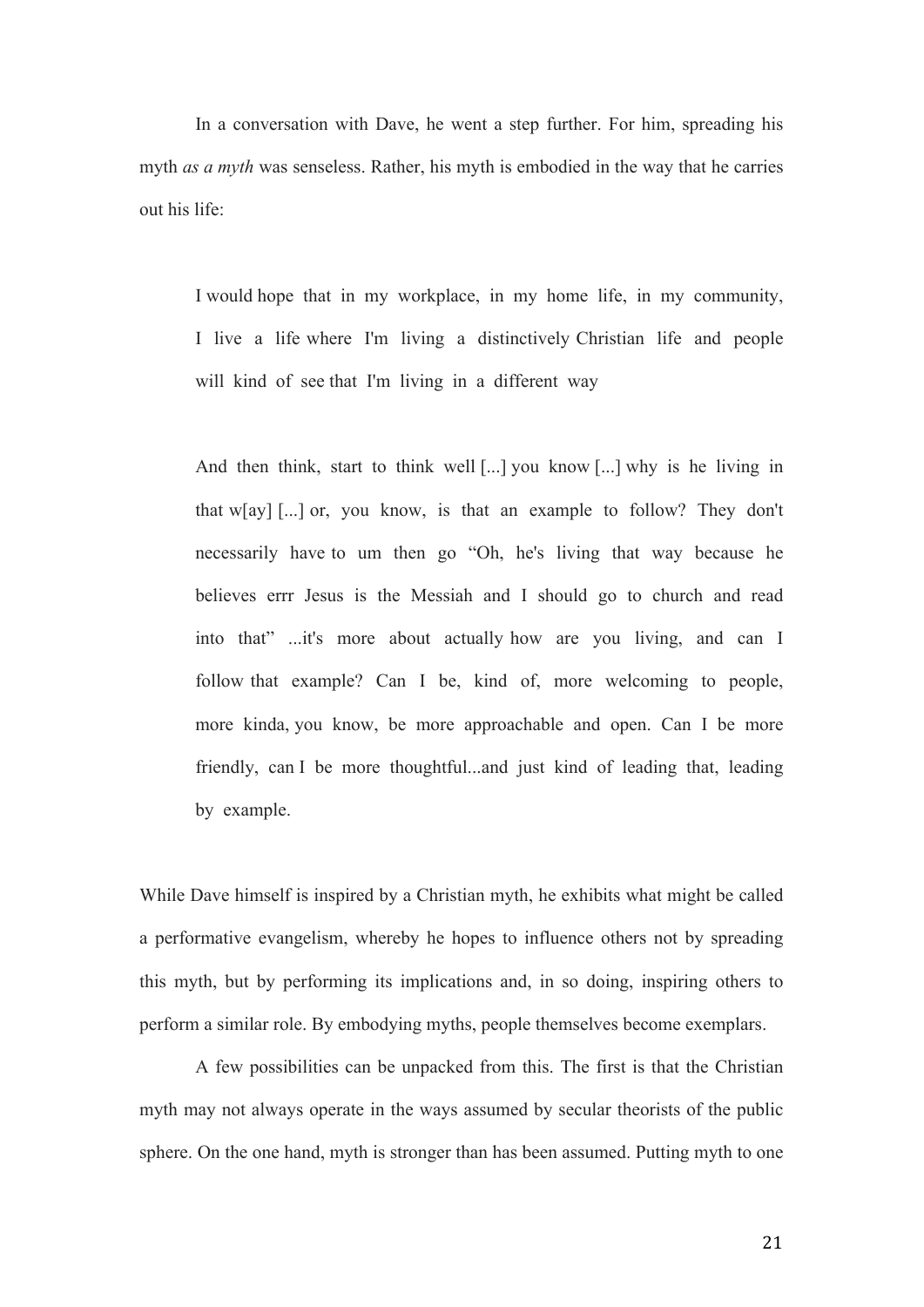In a conversation with Dave, he went a step further. For him, spreading his myth *as a myth* was senseless. Rather, his myth is embodied in the way that he carries out his life:

I would hope that in my workplace, in my home life, in my community, I live a life where I'm living a distinctively Christian life and people will kind of see that I'm living in a different way

And then think, start to think well [...] you know [...] why is he living in that w[ay] [...] or, you know, is that an example to follow? They don't necessarily have to um then go "Oh, he's living that way because he believes errr Jesus is the Messiah and I should go to church and read into that" ...it's more about actually how are you living, and can I follow that example? Can I be, kind of, more welcoming to people, more kinda, you know, be more approachable and open. Can I be more friendly, can I be more thoughtful...and just kind of leading that, leading by example.

While Dave himself is inspired by a Christian myth, he exhibits what might be called a performative evangelism, whereby he hopes to influence others not by spreading this myth, but by performing its implications and, in so doing, inspiring others to perform a similar role. By embodying myths, people themselves become exemplars.

A few possibilities can be unpacked from this. The first is that the Christian myth may not always operate in the ways assumed by secular theorists of the public sphere. On the one hand, myth is stronger than has been assumed. Putting myth to one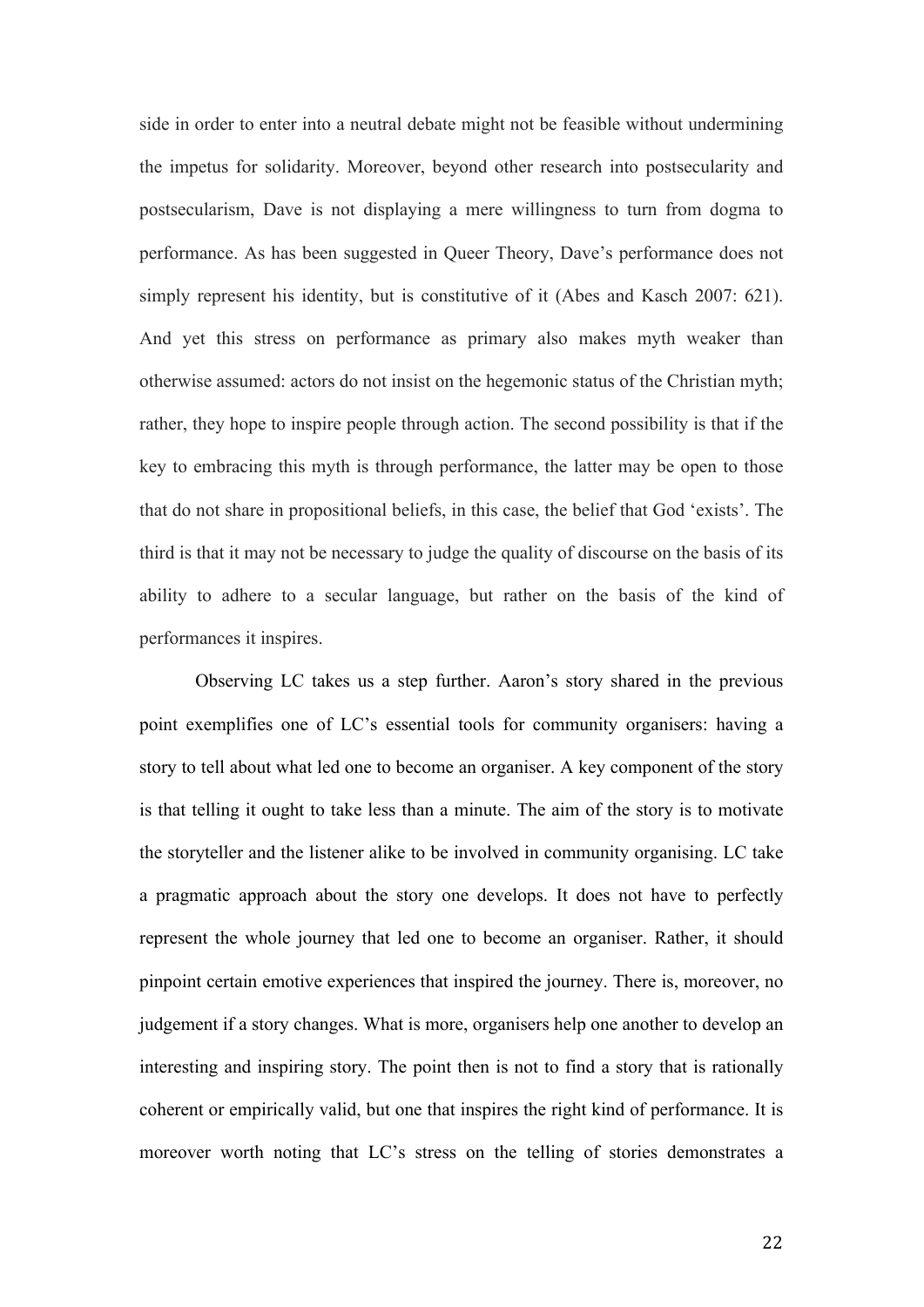side in order to enter into a neutral debate might not be feasible without undermining the impetus for solidarity. Moreover, beyond other research into postsecularity and postsecularism, Dave is not displaying a mere willingness to turn from dogma to performance. As has been suggested in Queer Theory, Dave's performance does not simply represent his identity, but is constitutive of it (Abes and Kasch 2007: 621). And yet this stress on performance as primary also makes myth weaker than otherwise assumed: actors do not insist on the hegemonic status of the Christian myth; rather, they hope to inspire people through action. The second possibility is that if the key to embracing this myth is through performance, the latter may be open to those that do not share in propositional beliefs, in this case, the belief that God 'exists'. The third is that it may not be necessary to judge the quality of discourse on the basis of its ability to adhere to a secular language, but rather on the basis of the kind of performances it inspires.

Observing LC takes us a step further. Aaron's story shared in the previous point exemplifies one of LC's essential tools for community organisers: having a story to tell about what led one to become an organiser. A key component of the story is that telling it ought to take less than a minute. The aim of the story is to motivate the storyteller and the listener alike to be involved in community organising. LC take a pragmatic approach about the story one develops. It does not have to perfectly represent the whole journey that led one to become an organiser. Rather, it should pinpoint certain emotive experiences that inspired the journey. There is, moreover, no judgement if a story changes. What is more, organisers help one another to develop an interesting and inspiring story. The point then is not to find a story that is rationally coherent or empirically valid, but one that inspires the right kind of performance. It is moreover worth noting that LC's stress on the telling of stories demonstrates a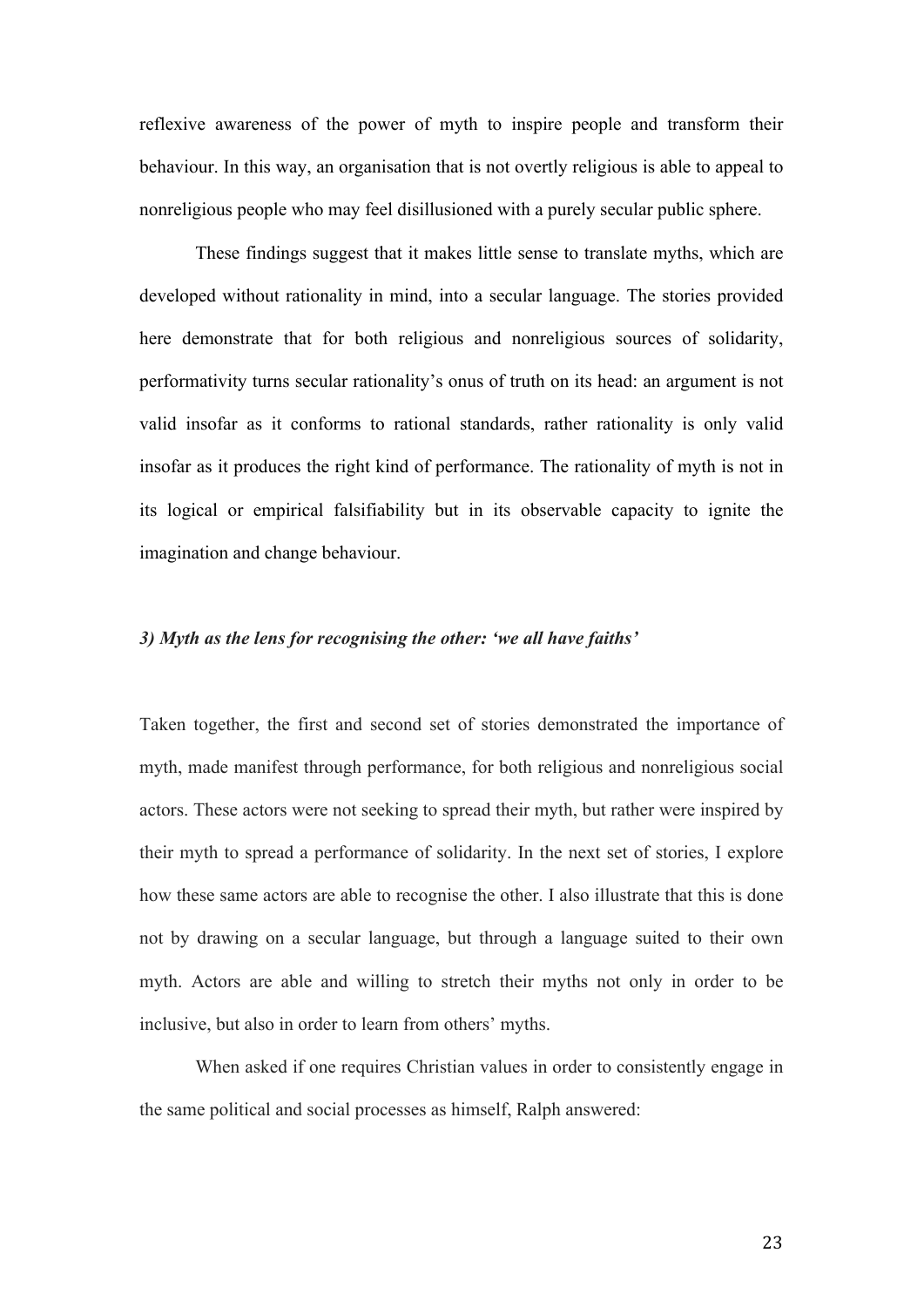reflexive awareness of the power of myth to inspire people and transform their behaviour. In this way, an organisation that is not overtly religious is able to appeal to nonreligious people who may feel disillusioned with a purely secular public sphere.

These findings suggest that it makes little sense to translate myths, which are developed without rationality in mind, into a secular language. The stories provided here demonstrate that for both religious and nonreligious sources of solidarity, performativity turns secular rationality's onus of truth on its head: an argument is not valid insofar as it conforms to rational standards, rather rationality is only valid insofar as it produces the right kind of performance. The rationality of myth is not in its logical or empirical falsifiability but in its observable capacity to ignite the imagination and change behaviour.

## *3) Myth as the lens for recognising the other: 'we all have faiths'*

Taken together, the first and second set of stories demonstrated the importance of myth, made manifest through performance, for both religious and nonreligious social actors. These actors were not seeking to spread their myth, but rather were inspired by their myth to spread a performance of solidarity. In the next set of stories, I explore how these same actors are able to recognise the other. I also illustrate that this is done not by drawing on a secular language, but through a language suited to their own myth. Actors are able and willing to stretch their myths not only in order to be inclusive, but also in order to learn from others' myths.

When asked if one requires Christian values in order to consistently engage in the same political and social processes as himself, Ralph answered: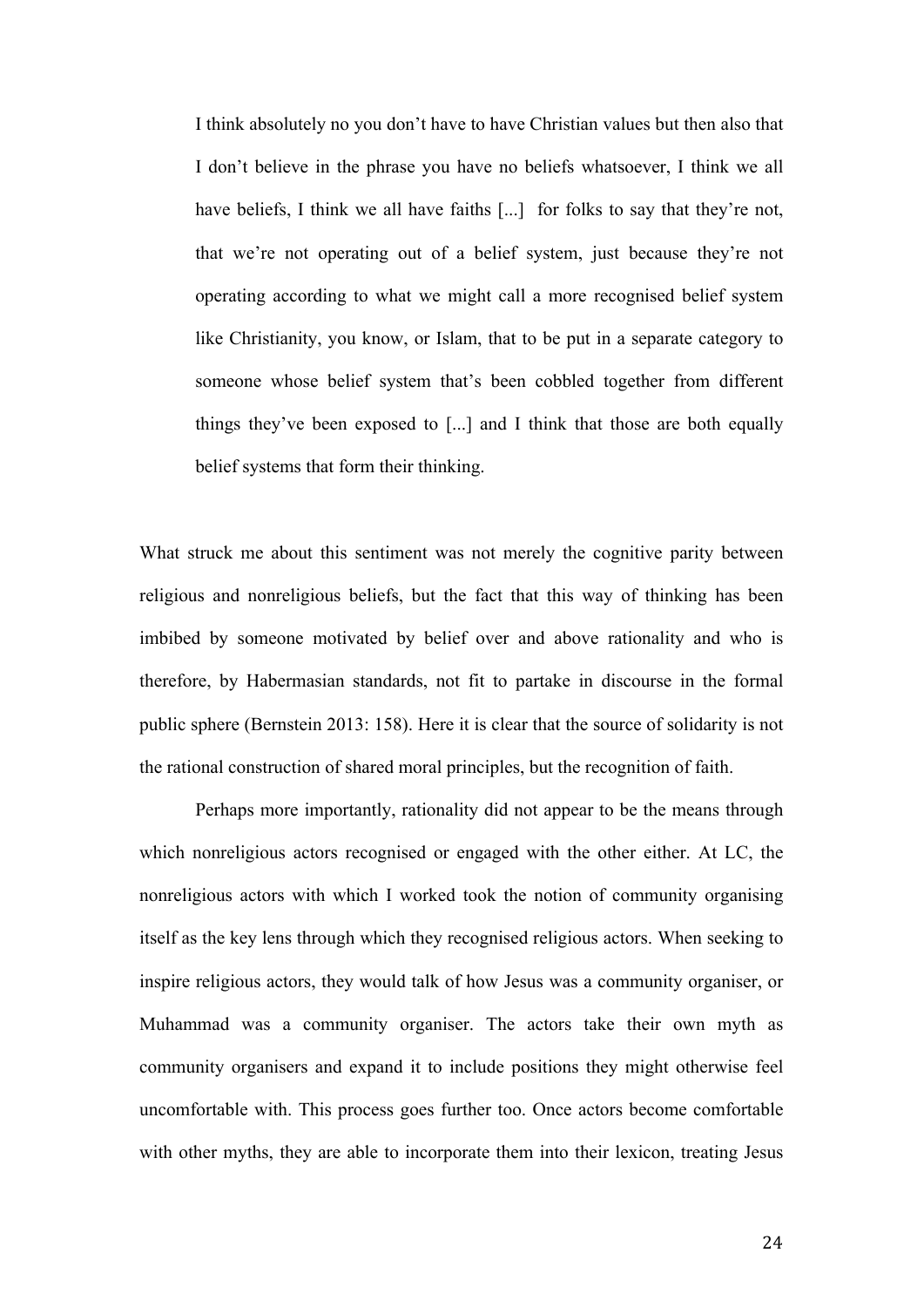I think absolutely no you don't have to have Christian values but then also that I don't believe in the phrase you have no beliefs whatsoever, I think we all have beliefs, I think we all have faiths [...] for folks to say that they're not, that we're not operating out of a belief system, just because they're not operating according to what we might call a more recognised belief system like Christianity, you know, or Islam, that to be put in a separate category to someone whose belief system that's been cobbled together from different things they've been exposed to [...] and I think that those are both equally belief systems that form their thinking.

What struck me about this sentiment was not merely the cognitive parity between religious and nonreligious beliefs, but the fact that this way of thinking has been imbibed by someone motivated by belief over and above rationality and who is therefore, by Habermasian standards, not fit to partake in discourse in the formal public sphere (Bernstein 2013: 158). Here it is clear that the source of solidarity is not the rational construction of shared moral principles, but the recognition of faith.

Perhaps more importantly, rationality did not appear to be the means through which nonreligious actors recognised or engaged with the other either. At LC, the nonreligious actors with which I worked took the notion of community organising itself as the key lens through which they recognised religious actors. When seeking to inspire religious actors, they would talk of how Jesus was a community organiser, or Muhammad was a community organiser. The actors take their own myth as community organisers and expand it to include positions they might otherwise feel uncomfortable with. This process goes further too. Once actors become comfortable with other myths, they are able to incorporate them into their lexicon, treating Jesus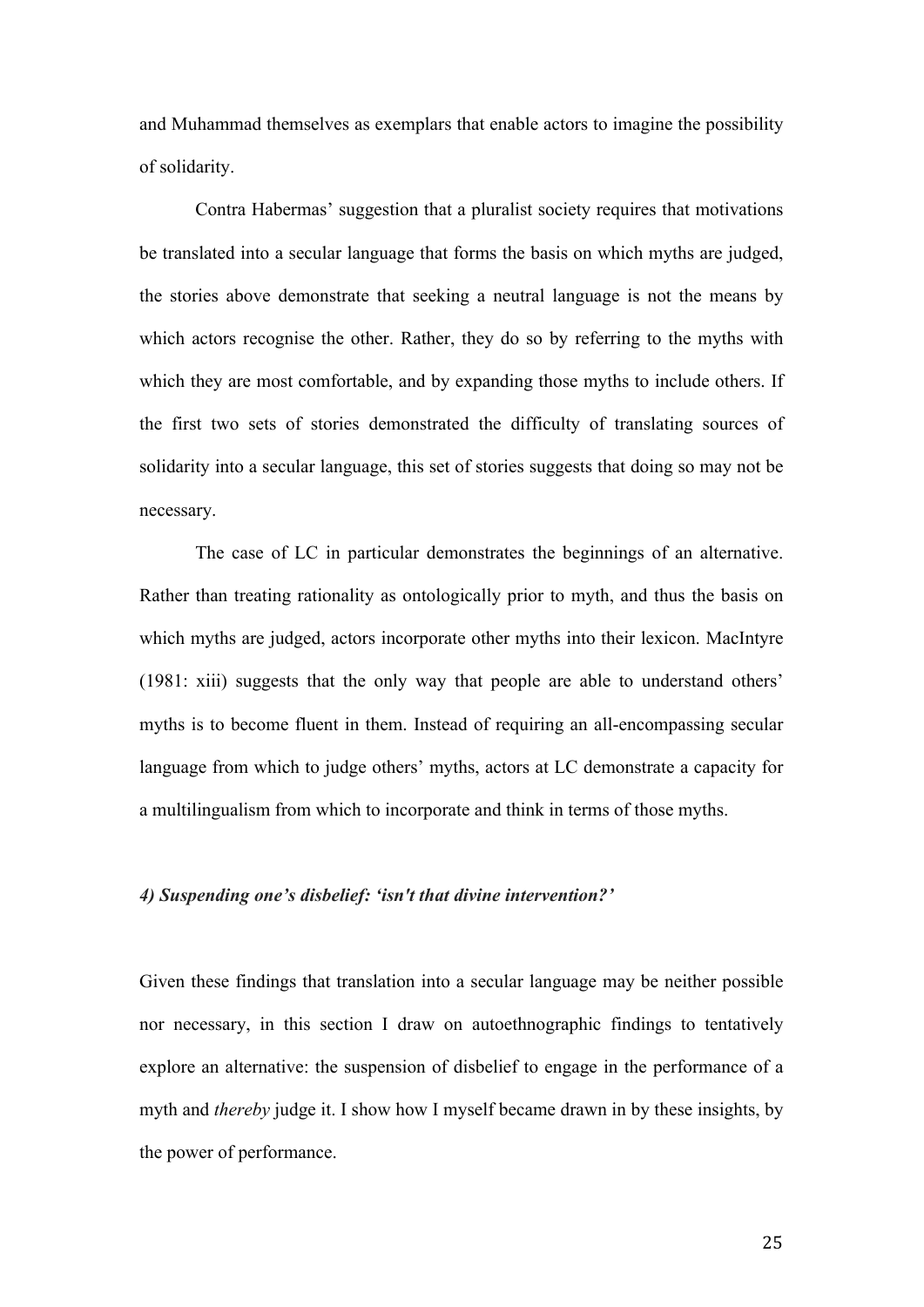and Muhammad themselves as exemplars that enable actors to imagine the possibility of solidarity.

Contra Habermas' suggestion that a pluralist society requires that motivations be translated into a secular language that forms the basis on which myths are judged, the stories above demonstrate that seeking a neutral language is not the means by which actors recognise the other. Rather, they do so by referring to the myths with which they are most comfortable, and by expanding those myths to include others. If the first two sets of stories demonstrated the difficulty of translating sources of solidarity into a secular language, this set of stories suggests that doing so may not be necessary.

The case of LC in particular demonstrates the beginnings of an alternative. Rather than treating rationality as ontologically prior to myth, and thus the basis on which myths are judged, actors incorporate other myths into their lexicon. MacIntyre (1981: xiii) suggests that the only way that people are able to understand others' myths is to become fluent in them. Instead of requiring an all-encompassing secular language from which to judge others' myths, actors at LC demonstrate a capacity for a multilingualism from which to incorporate and think in terms of those myths.

## *4) Suspending one's disbelief: 'isn't that divine intervention?'*

Given these findings that translation into a secular language may be neither possible nor necessary, in this section I draw on autoethnographic findings to tentatively explore an alternative: the suspension of disbelief to engage in the performance of a myth and *thereby* judge it. I show how I myself became drawn in by these insights, by the power of performance.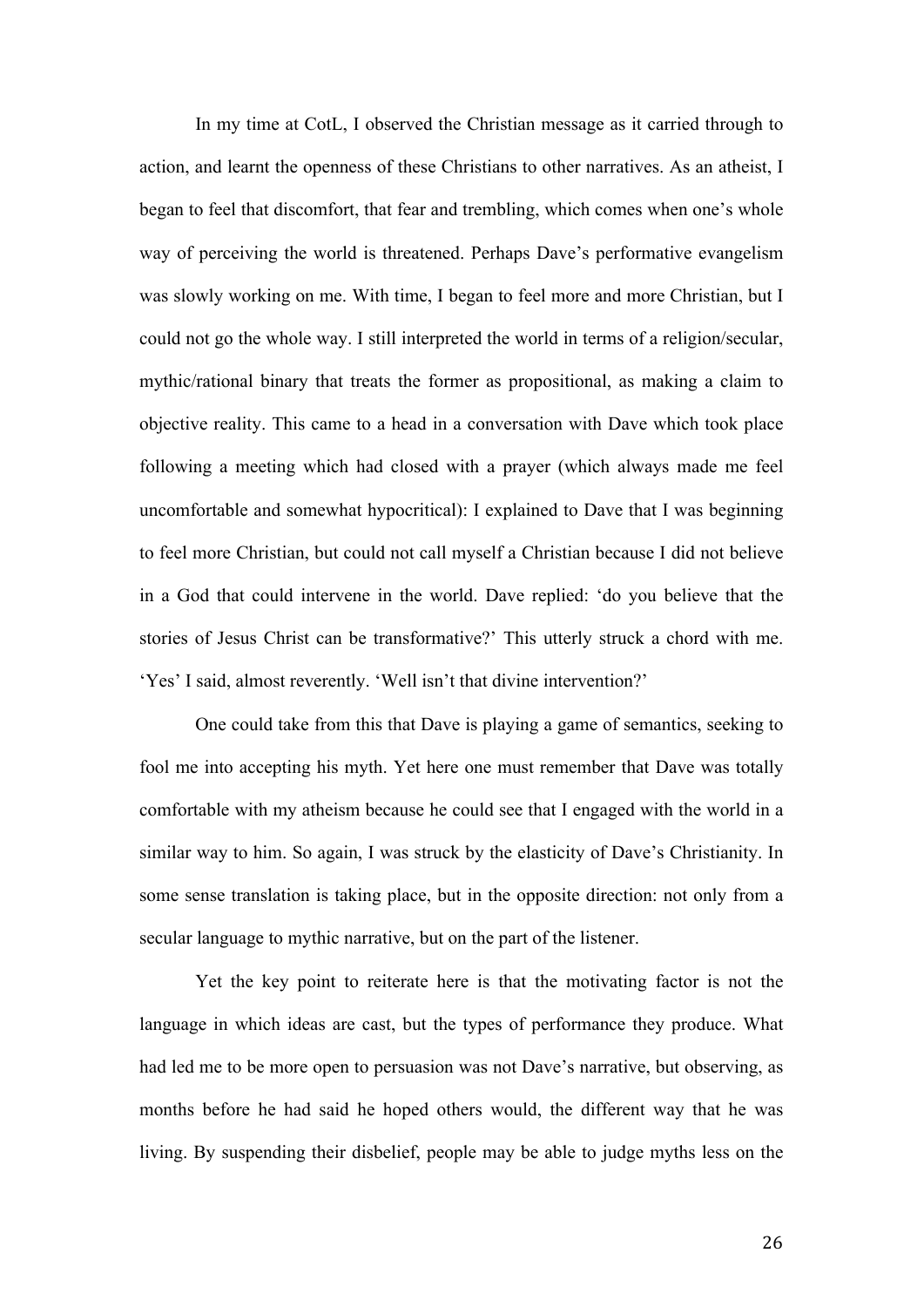In my time at CotL, I observed the Christian message as it carried through to action, and learnt the openness of these Christians to other narratives. As an atheist, I began to feel that discomfort, that fear and trembling, which comes when one's whole way of perceiving the world is threatened. Perhaps Dave's performative evangelism was slowly working on me. With time, I began to feel more and more Christian, but I could not go the whole way. I still interpreted the world in terms of a religion/secular, mythic/rational binary that treats the former as propositional, as making a claim to objective reality. This came to a head in a conversation with Dave which took place following a meeting which had closed with a prayer (which always made me feel uncomfortable and somewhat hypocritical): I explained to Dave that I was beginning to feel more Christian, but could not call myself a Christian because I did not believe in a God that could intervene in the world. Dave replied: 'do you believe that the stories of Jesus Christ can be transformative?' This utterly struck a chord with me. 'Yes' I said, almost reverently. 'Well isn't that divine intervention?'

One could take from this that Dave is playing a game of semantics, seeking to fool me into accepting his myth. Yet here one must remember that Dave was totally comfortable with my atheism because he could see that I engaged with the world in a similar way to him. So again, I was struck by the elasticity of Dave's Christianity. In some sense translation is taking place, but in the opposite direction: not only from a secular language to mythic narrative, but on the part of the listener.

Yet the key point to reiterate here is that the motivating factor is not the language in which ideas are cast, but the types of performance they produce. What had led me to be more open to persuasion was not Dave's narrative, but observing, as months before he had said he hoped others would, the different way that he was living. By suspending their disbelief, people may be able to judge myths less on the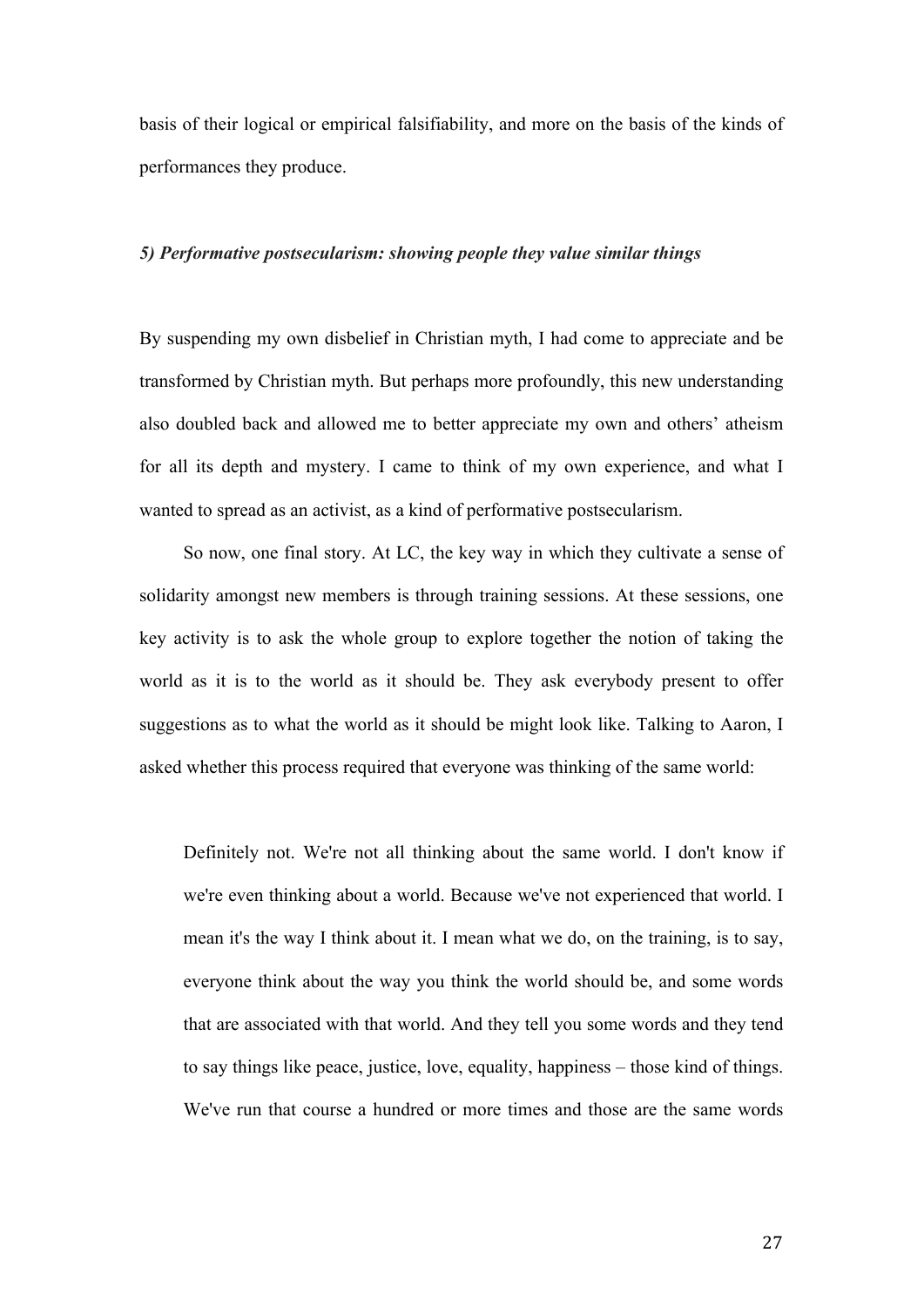basis of their logical or empirical falsifiability, and more on the basis of the kinds of performances they produce.

## *5) Performative postsecularism: showing people they value similar things*

By suspending my own disbelief in Christian myth, I had come to appreciate and be transformed by Christian myth. But perhaps more profoundly, this new understanding also doubled back and allowed me to better appreciate my own and others' atheism for all its depth and mystery. I came to think of my own experience, and what I wanted to spread as an activist, as a kind of performative postsecularism.

So now, one final story. At LC, the key way in which they cultivate a sense of solidarity amongst new members is through training sessions. At these sessions, one key activity is to ask the whole group to explore together the notion of taking the world as it is to the world as it should be. They ask everybody present to offer suggestions as to what the world as it should be might look like. Talking to Aaron, I asked whether this process required that everyone was thinking of the same world:

Definitely not. We're not all thinking about the same world. I don't know if we're even thinking about a world. Because we've not experienced that world. I mean it's the way I think about it. I mean what we do, on the training, is to say, everyone think about the way you think the world should be, and some words that are associated with that world. And they tell you some words and they tend to say things like peace, justice, love, equality, happiness – those kind of things. We've run that course a hundred or more times and those are the same words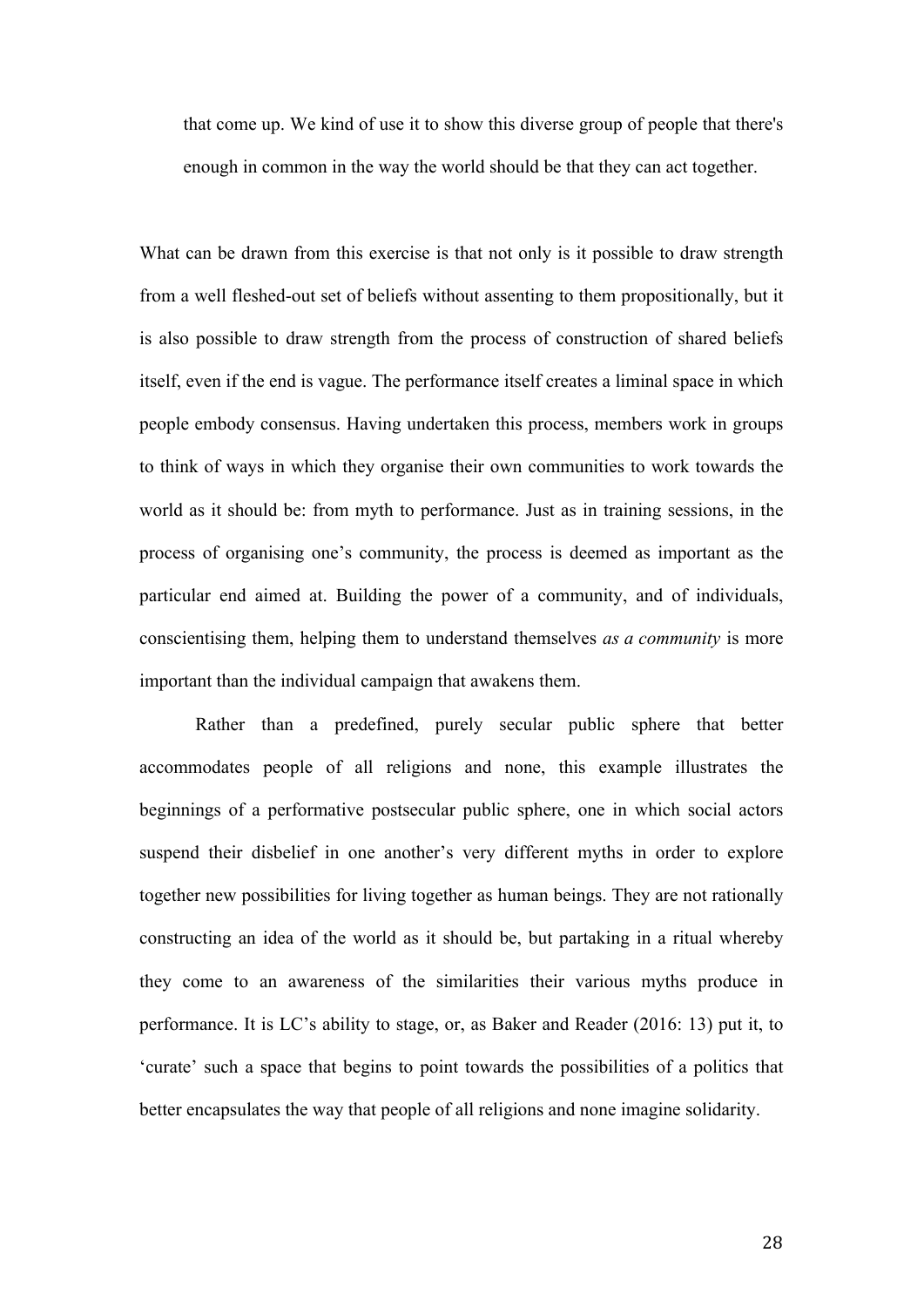that come up. We kind of use it to show this diverse group of people that there's enough in common in the way the world should be that they can act together.

What can be drawn from this exercise is that not only is it possible to draw strength from a well fleshed-out set of beliefs without assenting to them propositionally, but it is also possible to draw strength from the process of construction of shared beliefs itself, even if the end is vague. The performance itself creates a liminal space in which people embody consensus. Having undertaken this process, members work in groups to think of ways in which they organise their own communities to work towards the world as it should be: from myth to performance. Just as in training sessions, in the process of organising one's community, the process is deemed as important as the particular end aimed at. Building the power of a community, and of individuals, conscientising them, helping them to understand themselves *as a community* is more important than the individual campaign that awakens them.

Rather than a predefined, purely secular public sphere that better accommodates people of all religions and none, this example illustrates the beginnings of a performative postsecular public sphere, one in which social actors suspend their disbelief in one another's very different myths in order to explore together new possibilities for living together as human beings. They are not rationally constructing an idea of the world as it should be, but partaking in a ritual whereby they come to an awareness of the similarities their various myths produce in performance. It is LC's ability to stage, or, as Baker and Reader (2016: 13) put it, to 'curate' such a space that begins to point towards the possibilities of a politics that better encapsulates the way that people of all religions and none imagine solidarity.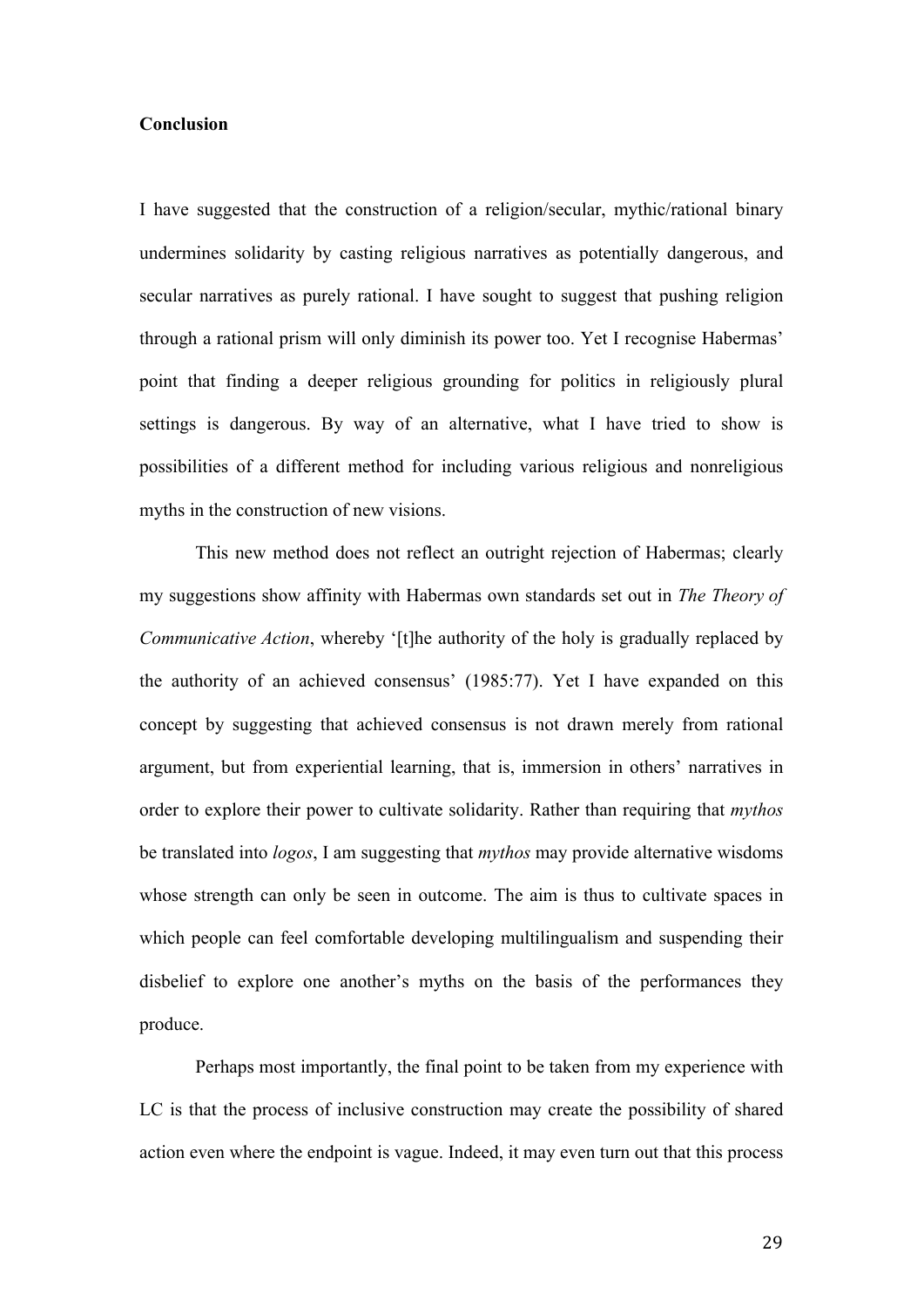## **Conclusion**

I have suggested that the construction of a religion/secular, mythic/rational binary undermines solidarity by casting religious narratives as potentially dangerous, and secular narratives as purely rational. I have sought to suggest that pushing religion through a rational prism will only diminish its power too. Yet I recognise Habermas' point that finding a deeper religious grounding for politics in religiously plural settings is dangerous. By way of an alternative, what I have tried to show is possibilities of a different method for including various religious and nonreligious myths in the construction of new visions.

This new method does not reflect an outright rejection of Habermas; clearly my suggestions show affinity with Habermas own standards set out in *The Theory of Communicative Action*, whereby '[t]he authority of the holy is gradually replaced by the authority of an achieved consensus' (1985:77). Yet I have expanded on this concept by suggesting that achieved consensus is not drawn merely from rational argument, but from experiential learning, that is, immersion in others' narratives in order to explore their power to cultivate solidarity. Rather than requiring that *mythos*  be translated into *logos*, I am suggesting that *mythos* may provide alternative wisdoms whose strength can only be seen in outcome. The aim is thus to cultivate spaces in which people can feel comfortable developing multilingualism and suspending their disbelief to explore one another's myths on the basis of the performances they produce.

Perhaps most importantly, the final point to be taken from my experience with LC is that the process of inclusive construction may create the possibility of shared action even where the endpoint is vague. Indeed, it may even turn out that this process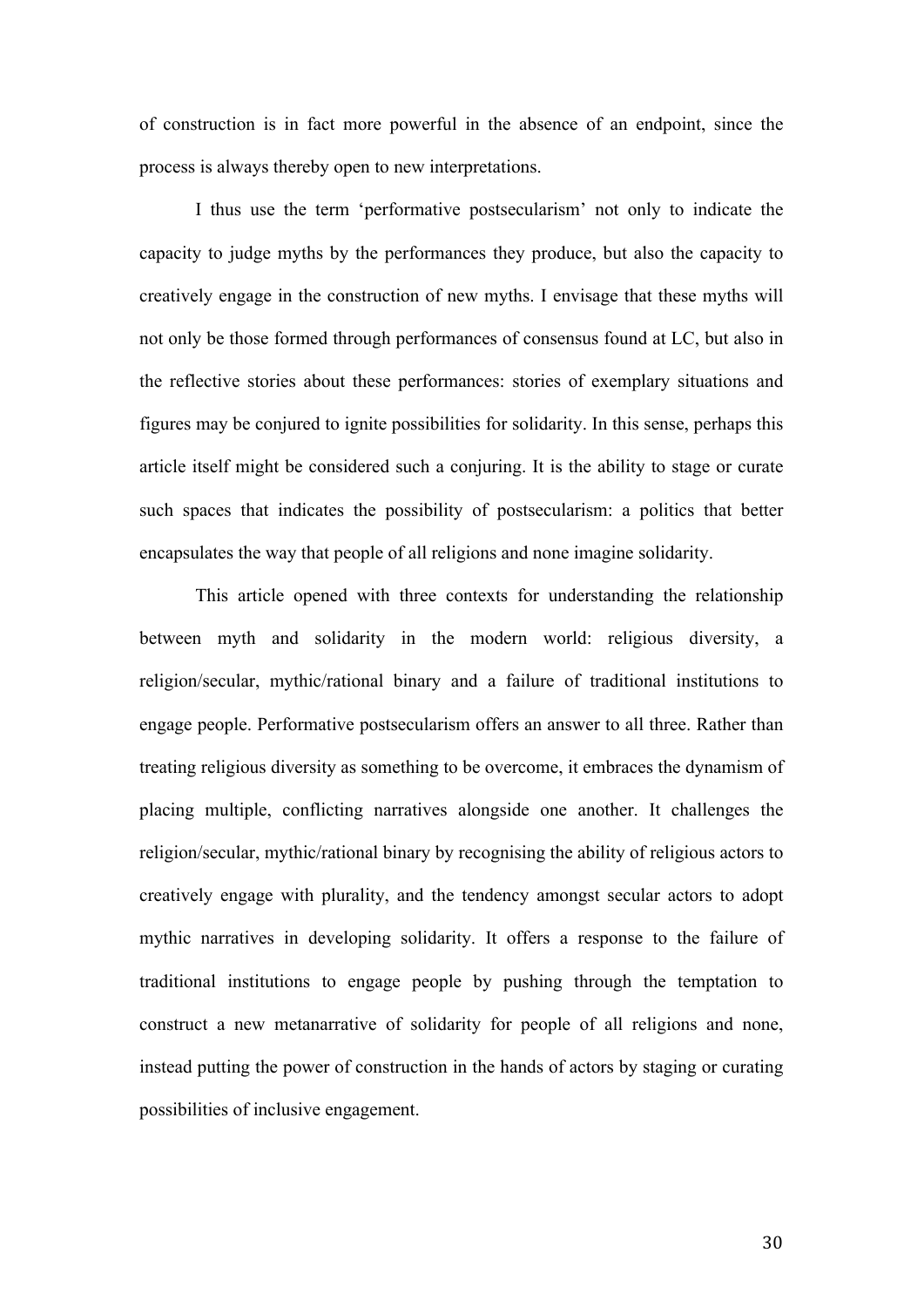of construction is in fact more powerful in the absence of an endpoint, since the process is always thereby open to new interpretations.

I thus use the term 'performative postsecularism' not only to indicate the capacity to judge myths by the performances they produce, but also the capacity to creatively engage in the construction of new myths. I envisage that these myths will not only be those formed through performances of consensus found at LC, but also in the reflective stories about these performances: stories of exemplary situations and figures may be conjured to ignite possibilities for solidarity. In this sense, perhaps this article itself might be considered such a conjuring. It is the ability to stage or curate such spaces that indicates the possibility of postsecularism: a politics that better encapsulates the way that people of all religions and none imagine solidarity.

This article opened with three contexts for understanding the relationship between myth and solidarity in the modern world: religious diversity, a religion/secular, mythic/rational binary and a failure of traditional institutions to engage people. Performative postsecularism offers an answer to all three. Rather than treating religious diversity as something to be overcome, it embraces the dynamism of placing multiple, conflicting narratives alongside one another. It challenges the religion/secular, mythic/rational binary by recognising the ability of religious actors to creatively engage with plurality, and the tendency amongst secular actors to adopt mythic narratives in developing solidarity. It offers a response to the failure of traditional institutions to engage people by pushing through the temptation to construct a new metanarrative of solidarity for people of all religions and none, instead putting the power of construction in the hands of actors by staging or curating possibilities of inclusive engagement.

30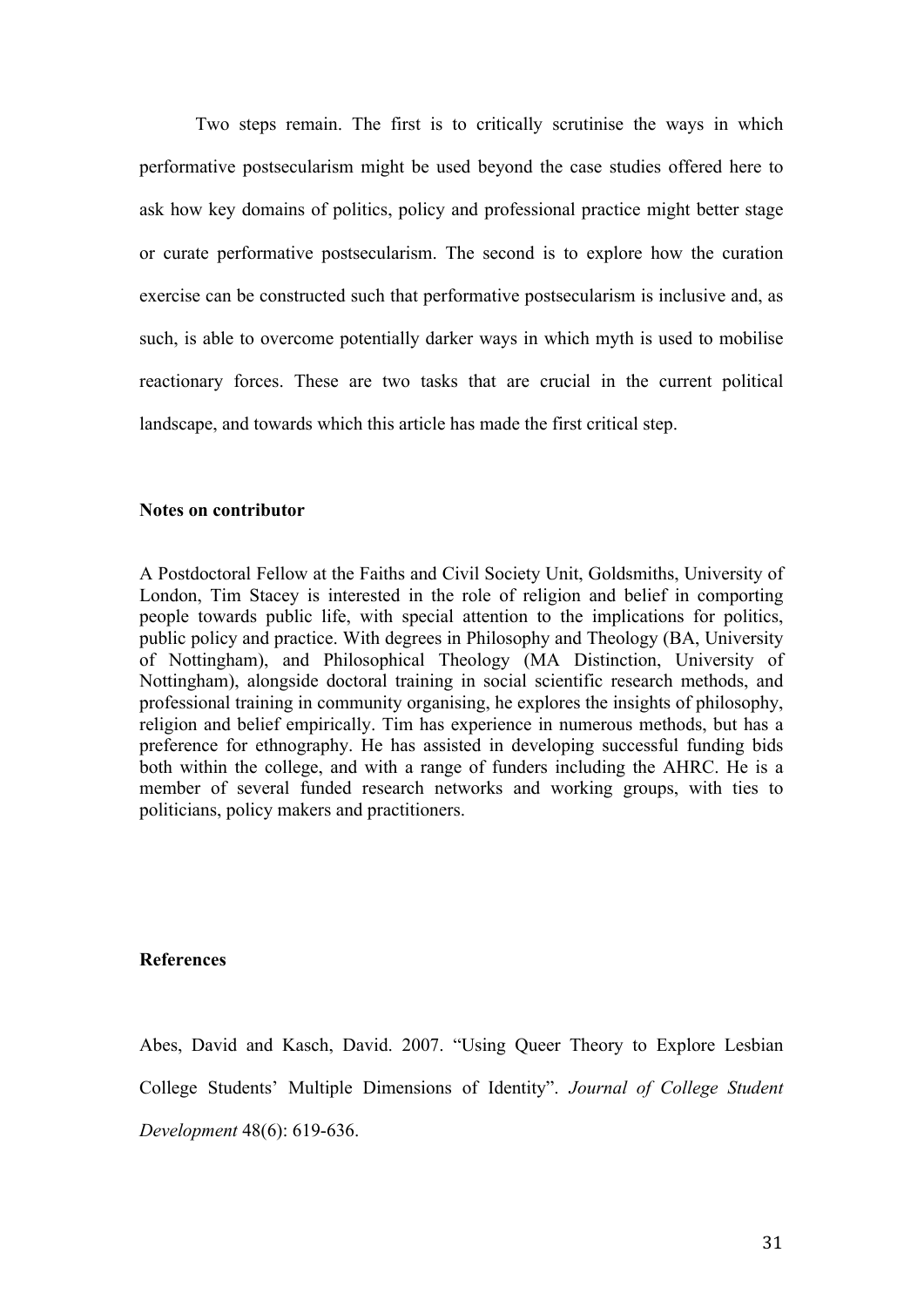Two steps remain. The first is to critically scrutinise the ways in which performative postsecularism might be used beyond the case studies offered here to ask how key domains of politics, policy and professional practice might better stage or curate performative postsecularism. The second is to explore how the curation exercise can be constructed such that performative postsecularism is inclusive and, as such, is able to overcome potentially darker ways in which myth is used to mobilise reactionary forces. These are two tasks that are crucial in the current political landscape, and towards which this article has made the first critical step.

#### **Notes on contributor**

A Postdoctoral Fellow at the Faiths and Civil Society Unit, Goldsmiths, University of London, Tim Stacey is interested in the role of religion and belief in comporting people towards public life, with special attention to the implications for politics, public policy and practice. With degrees in Philosophy and Theology (BA, University of Nottingham), and Philosophical Theology (MA Distinction, University of Nottingham), alongside doctoral training in social scientific research methods, and professional training in community organising, he explores the insights of philosophy, religion and belief empirically. Tim has experience in numerous methods, but has a preference for ethnography. He has assisted in developing successful funding bids both within the college, and with a range of funders including the AHRC. He is a member of several funded research networks and working groups, with ties to politicians, policy makers and practitioners.

## **References**

Abes, David and Kasch, David. 2007. "Using Queer Theory to Explore Lesbian College Students' Multiple Dimensions of Identity". *Journal of College Student Development* 48(6): 619-636.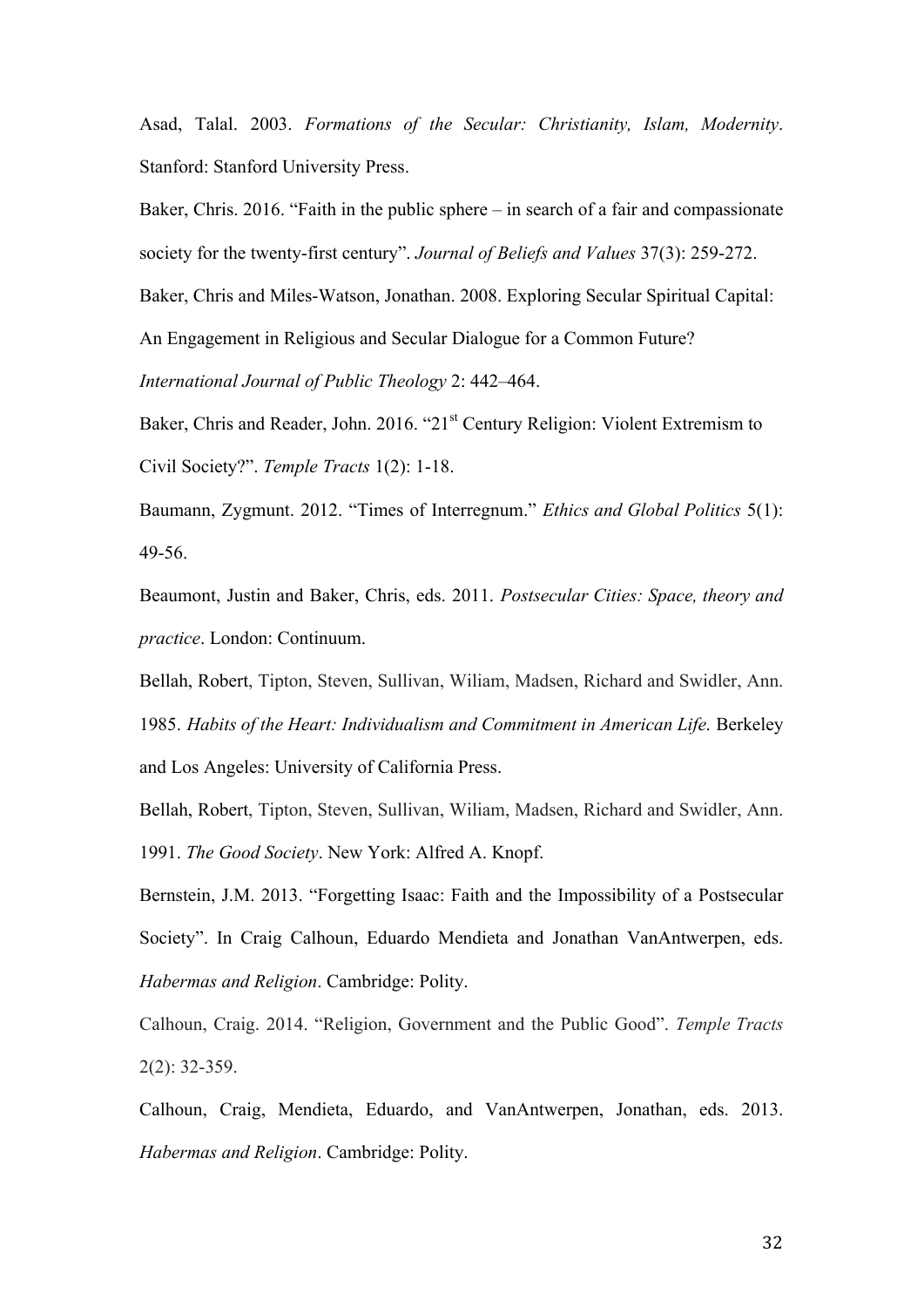Asad, Talal. 2003. *Formations of the Secular: Christianity, Islam, Modernity*. Stanford: Stanford University Press.

Baker, Chris. 2016. "Faith in the public sphere – in search of a fair and compassionate society for the twenty-first century". *Journal of Beliefs and Values* 37(3): 259-272.

Baker, Chris and Miles-Watson, Jonathan. 2008. Exploring Secular Spiritual Capital:

An Engagement in Religious and Secular Dialogue for a Common Future?

*International Journal of Public Theology* 2: 442–464.

Baker, Chris and Reader, John. 2016. "21<sup>st</sup> Century Religion: Violent Extremism to Civil Society?". *Temple Tracts* 1(2): 1-18.

Baumann, Zygmunt. 2012. "Times of Interregnum." *Ethics and Global Politics* 5(1): 49-56.

Beaumont, Justin and Baker, Chris, eds. 2011. *Postsecular Cities: Space, theory and practice*. London: Continuum.

Bellah, Robert, Tipton, Steven, Sullivan, Wiliam, Madsen, Richard and Swidler, Ann. 1985. *Habits of the Heart: Individualism and Commitment in American Life*. Berkeley and Los Angeles: University of California Press.

Bellah, Robert, Tipton, Steven, Sullivan, Wiliam, Madsen, Richard and Swidler, Ann. 1991. *The Good Society*. New York: Alfred A. Knopf.

Bernstein, J.M. 2013. "Forgetting Isaac: Faith and the Impossibility of a Postsecular Society". In Craig Calhoun, Eduardo Mendieta and Jonathan VanAntwerpen, eds. *Habermas and Religion*. Cambridge: Polity.

Calhoun, Craig. 2014. "Religion, Government and the Public Good". *Temple Tracts* 2(2): 32-359.

Calhoun, Craig, Mendieta, Eduardo, and VanAntwerpen, Jonathan, eds. 2013. *Habermas and Religion*. Cambridge: Polity.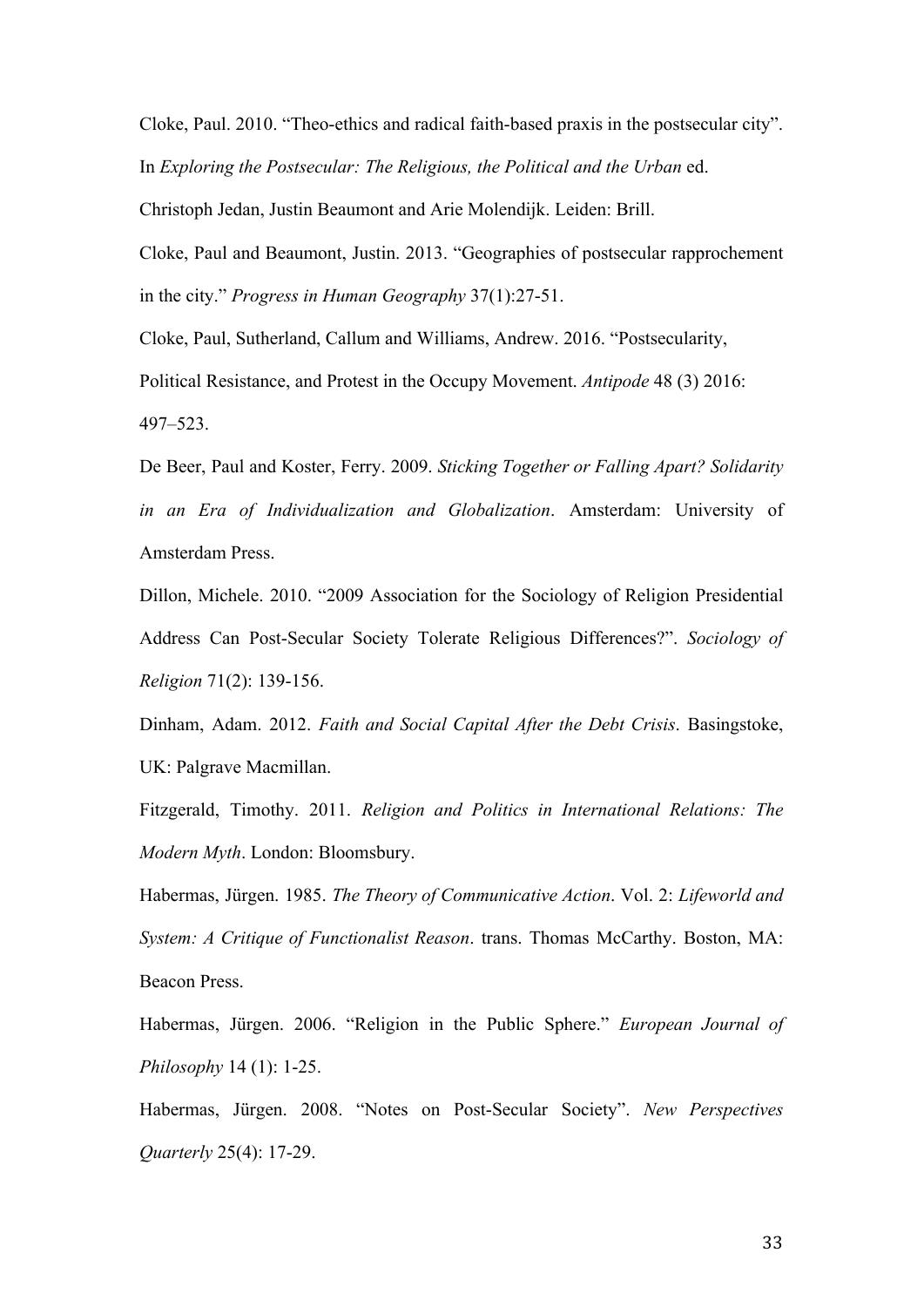Cloke, Paul. 2010. "Theo-ethics and radical faith-based praxis in the postsecular city". In *Exploring the Postsecular: The Religious, the Political and the Urban* ed.

Christoph Jedan, Justin Beaumont and Arie Molendijk. Leiden: Brill.

Cloke, Paul and Beaumont, Justin. 2013. "Geographies of postsecular rapprochement in the city." *Progress in Human Geography* 37(1):27-51.

Cloke, Paul, Sutherland, Callum and Williams, Andrew. 2016. "Postsecularity,

Political Resistance, and Protest in the Occupy Movement. *Antipode* 48 (3) 2016:

497–523.

De Beer, Paul and Koster, Ferry. 2009. *Sticking Together or Falling Apart? Solidarity in an Era of Individualization and Globalization*. Amsterdam: University of Amsterdam Press.

Dillon, Michele. 2010. "2009 Association for the Sociology of Religion Presidential Address Can Post-Secular Society Tolerate Religious Differences?". *Sociology of Religion* 71(2): 139-156.

Dinham, Adam. 2012. *Faith and Social Capital After the Debt Crisis*. Basingstoke, UK: Palgrave Macmillan.

Fitzgerald, Timothy. 2011. *Religion and Politics in International Relations: The Modern Myth*. London: Bloomsbury.

Habermas, Jürgen. 1985. *The Theory of Communicative Action*. Vol. 2: *Lifeworld and System: A Critique of Functionalist Reason*. trans. Thomas McCarthy. Boston, MA: Beacon Press.

Habermas, Jürgen. 2006. "Religion in the Public Sphere." *European Journal of Philosophy* 14 (1): 1-25.

Habermas, Jürgen. 2008. "Notes on Post-Secular Society". *New Perspectives Quarterly* 25(4): 17-29.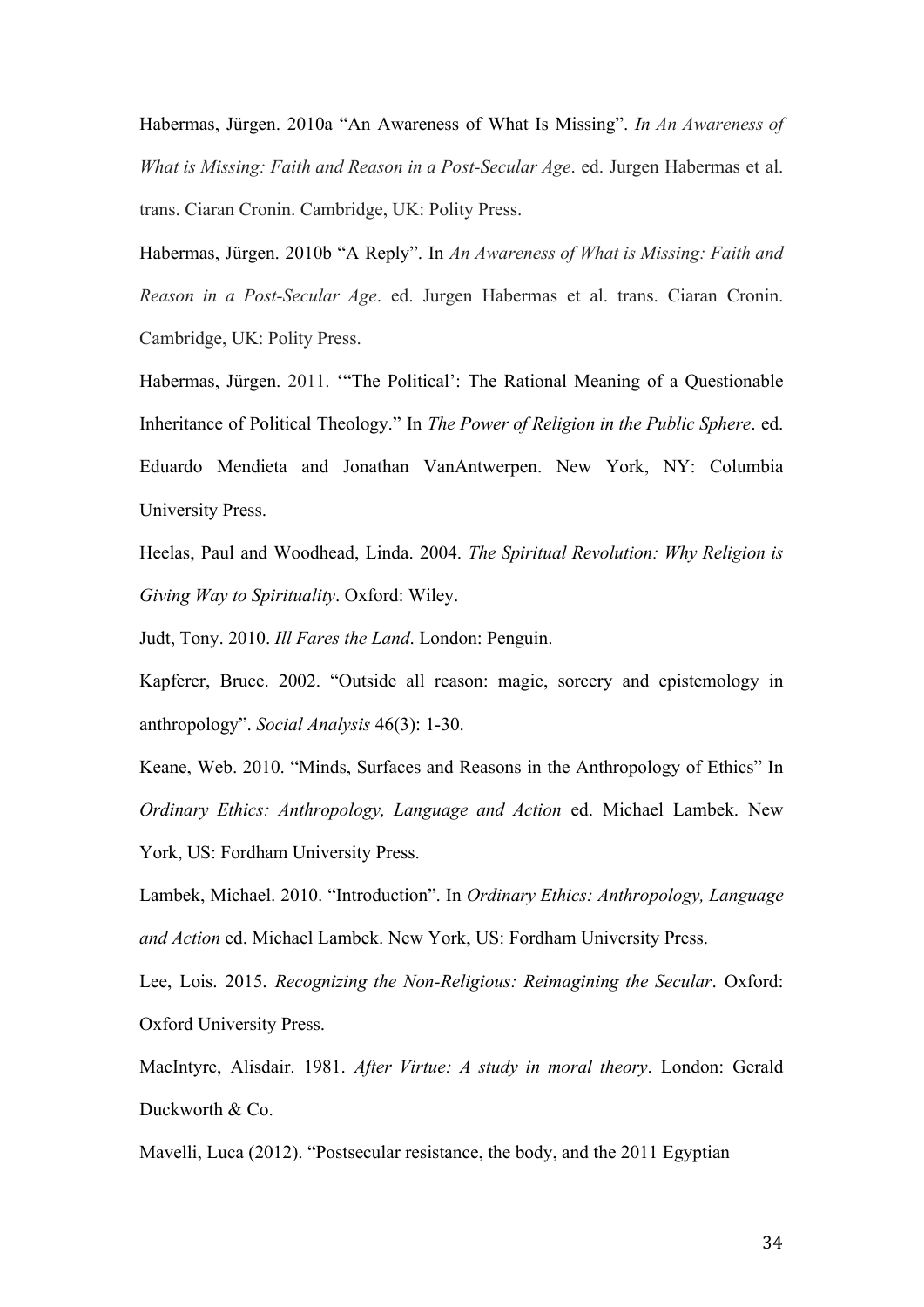Habermas, Jürgen. 2010a "An Awareness of What Is Missing". *In An Awareness of What is Missing: Faith and Reason in a Post-Secular Age*. ed. Jurgen Habermas et al. trans. Ciaran Cronin. Cambridge, UK: Polity Press.

Habermas, Jürgen. 2010b "A Reply". In *An Awareness of What is Missing: Faith and Reason in a Post-Secular Age*. ed. Jurgen Habermas et al. trans. Ciaran Cronin. Cambridge, UK: Polity Press.

Habermas, Jürgen. 2011. '"The Political': The Rational Meaning of a Questionable Inheritance of Political Theology." In *The Power of Religion in the Public Sphere*. ed. Eduardo Mendieta and Jonathan VanAntwerpen. New York, NY: Columbia University Press.

Heelas, Paul and Woodhead, Linda. 2004. *The Spiritual Revolution: Why Religion is Giving Way to Spirituality*. Oxford: Wiley.

Judt, Tony. 2010. *Ill Fares the Land*. London: Penguin.

Kapferer, Bruce. 2002. "Outside all reason: magic, sorcery and epistemology in anthropology". *Social Analysis* 46(3): 1-30.

Keane, Web. 2010. "Minds, Surfaces and Reasons in the Anthropology of Ethics" In *Ordinary Ethics: Anthropology, Language and Action* ed. Michael Lambek. New York, US: Fordham University Press.

Lambek, Michael. 2010. "Introduction". In *Ordinary Ethics: Anthropology, Language and Action* ed. Michael Lambek. New York, US: Fordham University Press.

Lee, Lois. 2015. *Recognizing the Non-Religious: Reimagining the Secular*. Oxford: Oxford University Press.

MacIntyre, Alisdair. 1981. *After Virtue: A study in moral theory*. London: Gerald Duckworth & Co.

Mavelli, Luca (2012). "Postsecular resistance, the body, and the 2011 Egyptian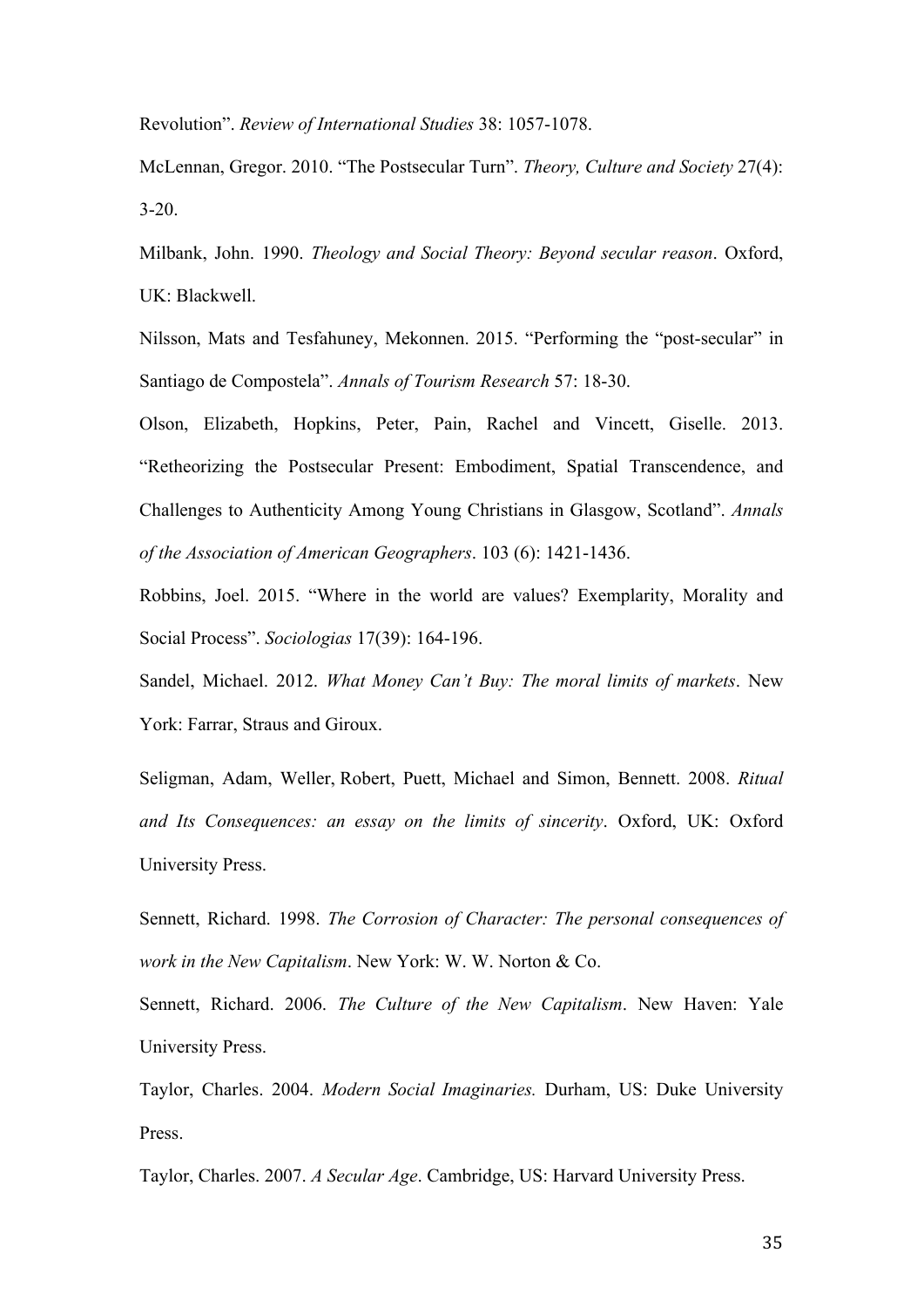Revolution". *Review of International Studies* 38: 1057-1078.

McLennan, Gregor. 2010. "The Postsecular Turn". *Theory, Culture and Society* 27(4): 3-20.

Milbank, John. 1990. *Theology and Social Theory: Beyond secular reason*. Oxford, UK: Blackwell.

Nilsson, Mats and Tesfahuney, Mekonnen. 2015. "Performing the "post-secular" in Santiago de Compostela". *Annals of Tourism Research* 57: 18-30.

Olson, Elizabeth, Hopkins, Peter, Pain, Rachel and Vincett, Giselle. 2013. "Retheorizing the Postsecular Present: Embodiment, Spatial Transcendence, and Challenges to Authenticity Among Young Christians in Glasgow, Scotland". *Annals of the Association of American Geographers*. 103 (6): 1421-1436.

Robbins, Joel. 2015. "Where in the world are values? Exemplarity, Morality and Social Process". *Sociologias* 17(39): 164-196.

Sandel, Michael. 2012. *What Money Can't Buy: The moral limits of markets*. New York: Farrar, Straus and Giroux.

Seligman, Adam, Weller, Robert, Puett, Michael and Simon, Bennett. 2008. *Ritual and Its Consequences: an essay on the limits of sincerity*. Oxford, UK: Oxford University Press.

Sennett, Richard. 1998. *The Corrosion of Character: The personal consequences of work in the New Capitalism*. New York: W. W. Norton & Co.

Sennett, Richard. 2006. *The Culture of the New Capitalism*. New Haven: Yale University Press.

Taylor, Charles. 2004. *Modern Social Imaginaries.* Durham, US: Duke University Press.

Taylor, Charles. 2007. *A Secular Age*. Cambridge, US: Harvard University Press.